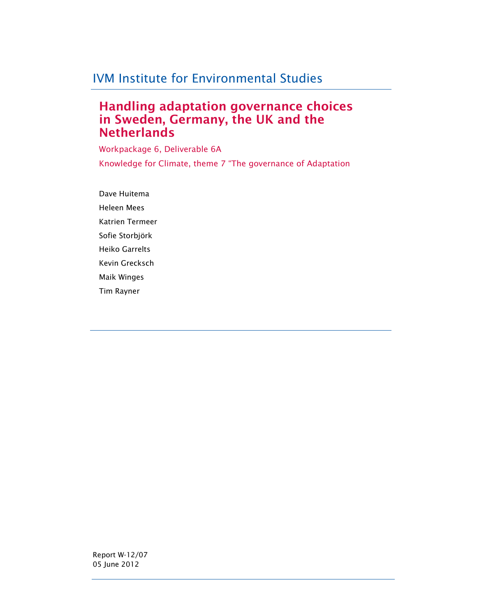# IVM Institute for Environmental Studies

# Handling adaptation governance choices in Sweden, Germany, the UK and the **Netherlands**

Workpackage 6, Deliverable 6A Knowledge for Climate, theme 7 "The governance of Adaptation

Dave Huitema Heleen Mees Katrien Termeer Sofie Storbjörk Heiko Garrelts Kevin Grecksch Maik Winges Tim Rayner

Report W-12/07 05 June 2012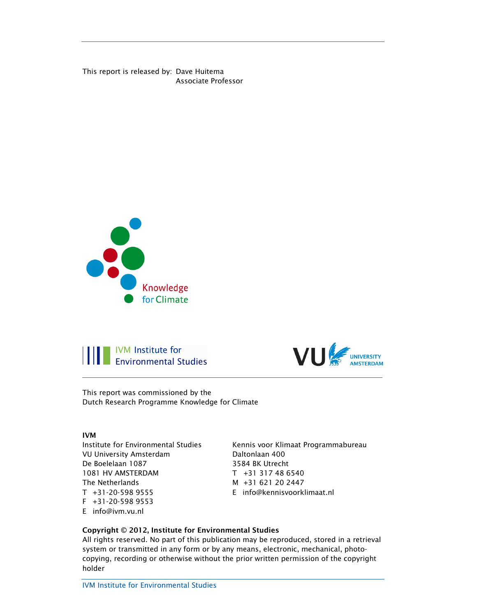This report is released by: Dave Huitema Associate Professor







This report was commissioned by the Dutch Research Programme Knowledge for Climate

#### IVM

Institute for Environmental Studies VU University Amsterdam De Boelelaan 1087 1081 HV AMSTERDAM The Netherlands T +31-20-598 9555 F +31-20-598 9553 E info@ivm.vu.nl

Kennis voor Klimaat Programmabureau Daltonlaan 400 3584 BK Utrecht T +31 317 48 6540 M +31 621 20 2447 E info@kennisvoorklimaat.nl

#### Copyright © 2012, Institute for Environmental Studies

All rights reserved. No part of this publication may be reproduced, stored in a retrieval system or transmitted in any form or by any means, electronic, mechanical, photocopying, recording or otherwise without the prior written permission of the copyright holder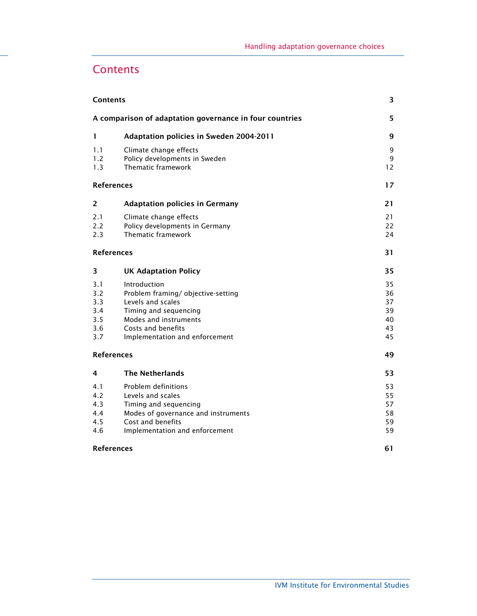# **Contents**

| <b>Contents</b>                               |                                                                                                                                                                                  |                                        |  |
|-----------------------------------------------|----------------------------------------------------------------------------------------------------------------------------------------------------------------------------------|----------------------------------------|--|
|                                               | A comparison of adaptation governance in four countries                                                                                                                          | 5                                      |  |
| 1                                             | <b>Adaptation policies in Sweden 2004-2011</b>                                                                                                                                   | 9                                      |  |
| 1.1<br>1.2<br>1.3                             | Climate change effects<br>Policy developments in Sweden<br>Thematic framework                                                                                                    | 9<br>9<br>12                           |  |
|                                               | <b>References</b>                                                                                                                                                                | 17                                     |  |
| 2                                             | <b>Adaptation policies in Germany</b>                                                                                                                                            | 21                                     |  |
| 2.1<br>2.2<br>2.3                             | Climate change effects<br>Policy developments in Germany<br>Thematic framework                                                                                                   | 21<br>22<br>24                         |  |
|                                               | <b>References</b>                                                                                                                                                                | 31                                     |  |
| 3                                             | <b>UK Adaptation Policy</b>                                                                                                                                                      | 35                                     |  |
| 3.1<br>3.2<br>3.3<br>3.4<br>3.5<br>3.6<br>3.7 | Introduction<br>Problem framing/objective-setting<br>Levels and scales<br>Timing and sequencing<br>Modes and instruments<br>Costs and benefits<br>Implementation and enforcement | 35<br>36<br>37<br>39<br>40<br>43<br>45 |  |
| <b>References</b>                             | 49                                                                                                                                                                               |                                        |  |
| 4                                             | <b>The Netherlands</b>                                                                                                                                                           | 53                                     |  |
| 4.1<br>4.2<br>4.3<br>4.4<br>4.5<br>4.6        | Problem definitions<br>Levels and scales<br>Timing and sequencing<br>Modes of governance and instruments<br>Cost and benefits<br>Implementation and enforcement                  | 53<br>55<br>57<br>58<br>59<br>59       |  |
| <b>References</b>                             | 61                                                                                                                                                                               |                                        |  |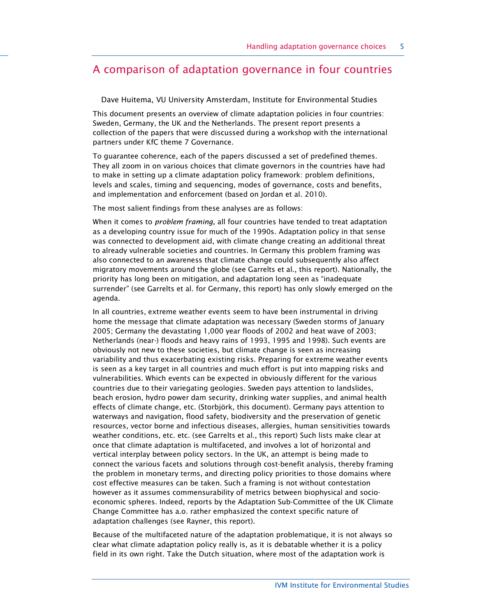## A comparison of adaptation governance in four countries

Dave Huitema, VU University Amsterdam, Institute for Environmental Studies

This document presents an overview of climate adaptation policies in four countries: Sweden, Germany, the UK and the Netherlands. The present report presents a collection of the papers that were discussed during a workshop with the international partners under KfC theme 7 Governance.

To guarantee coherence, each of the papers discussed a set of predefined themes. They all zoom in on various choices that climate governors in the countries have had to make in setting up a climate adaptation policy framework: problem definitions, levels and scales, timing and sequencing, modes of governance, costs and benefits, and implementation and enforcement (based on Jordan et al. 2010).

The most salient findings from these analyses are as follows:

When it comes to *problem framing*, all four countries have tended to treat adaptation as a developing country issue for much of the 1990s. Adaptation policy in that sense was connected to development aid, with climate change creating an additional threat to already vulnerable societies and countries. In Germany this problem framing was also connected to an awareness that climate change could subsequently also affect migratory movements around the globe (see Garrelts et al., this report). Nationally, the priority has long been on mitigation, and adaptation long seen as "inadequate surrender" (see Garrelts et al. for Germany, this report) has only slowly emerged on the agenda.

In all countries, extreme weather events seem to have been instrumental in driving home the message that climate adaptation was necessary (Sweden storms of January 2005; Germany the devastating 1,000 year floods of 2002 and heat wave of 2003; Netherlands (near-) floods and heavy rains of 1993, 1995 and 1998). Such events are obviously not new to these societies, but climate change is seen as increasing variability and thus exacerbating existing risks. Preparing for extreme weather events is seen as a key target in all countries and much effort is put into mapping risks and vulnerabilities. Which events can be expected in obviously different for the various countries due to their variegating geologies. Sweden pays attention to landslides, beach erosion, hydro power dam security, drinking water supplies, and animal health effects of climate change, etc. (Storbjörk, this document). Germany pays attention to waterways and navigation, flood safety, biodiversity and the preservation of genetic resources, vector borne and infectious diseases, allergies, human sensitivities towards weather conditions, etc. etc. (see Garrelts et al., this report) Such lists make clear at once that climate adaptation is multifaceted, and involves a lot of horizontal and vertical interplay between policy sectors. In the UK, an attempt is being made to connect the various facets and solutions through cost-benefit analysis, thereby framing the problem in monetary terms, and directing policy priorities to those domains where cost effective measures can be taken. Such a framing is not without contestation however as it assumes commensurability of metrics between biophysical and socioeconomic spheres. Indeed, reports by the Adaptation Sub-Committee of the UK Climate Change Committee has a.o. rather emphasized the context specific nature of adaptation challenges (see Rayner, this report).

Because of the multifaceted nature of the adaptation problematique, it is not always so clear what climate adaptation policy really is, as it is debatable whether it is a policy field in its own right. Take the Dutch situation, where most of the adaptation work is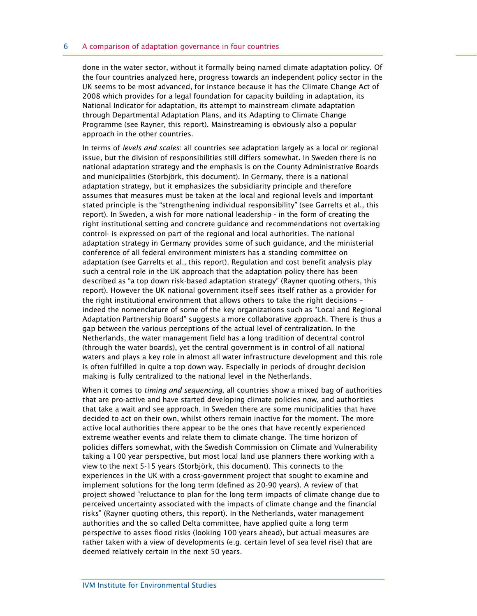done in the water sector, without it formally being named climate adaptation policy. Of the four countries analyzed here, progress towards an independent policy sector in the UK seems to be most advanced, for instance because it has the Climate Change Act of 2008 which provides for a legal foundation for capacity building in adaptation, its National Indicator for adaptation, its attempt to mainstream climate adaptation through Departmental Adaptation Plans, and its Adapting to Climate Change Programme (see Rayner, this report). Mainstreaming is obviously also a popular approach in the other countries.

In terms of *levels and scales*: all countries see adaptation largely as a local or regional issue, but the division of responsibilities still differs somewhat. In Sweden there is no national adaptation strategy and the emphasis is on the County Administrative Boards and municipalities (Storbjörk, this document). In Germany, there is a national adaptation strategy, but it emphasizes the subsidiarity principle and therefore assumes that measures must be taken at the local and regional levels and important stated principle is the "strengthening individual responsibility" (see Garrelts et al., this report). In Sweden, a wish for more national leadership - in the form of creating the right institutional setting and concrete guidance and recommendations not overtaking control- is expressed on part of the regional and local authorities. The national adaptation strategy in Germany provides some of such guidance, and the ministerial conference of all federal environment ministers has a standing committee on adaptation (see Garrelts et al., this report). Regulation and cost benefit analysis play such a central role in the UK approach that the adaptation policy there has been described as "a top down risk-based adaptation strategy" (Rayner quoting others, this report). However the UK national government itself sees itself rather as a provider for the right institutional environment that allows others to take the right decisions – indeed the nomenclature of some of the key organizations such as "Local and Regional Adaptation Partnership Board" suggests a more collaborative approach. There is thus a gap between the various perceptions of the actual level of centralization. In the Netherlands, the water management field has a long tradition of decentral control (through the water boards), yet the central government is in control of all national waters and plays a key role in almost all water infrastructure development and this role is often fulfilled in quite a top down way. Especially in periods of drought decision making is fully centralized to the national level in the Netherlands.

When it comes to *timing and sequencing*, all countries show a mixed bag of authorities that are pro-active and have started developing climate policies now, and authorities that take a wait and see approach. In Sweden there are some municipalities that have decided to act on their own, whilst others remain inactive for the moment. The more active local authorities there appear to be the ones that have recently experienced extreme weather events and relate them to climate change. The time horizon of policies differs somewhat, with the Swedish Commission on Climate and Vulnerability taking a 100 year perspective, but most local land use planners there working with a view to the next 5-15 years (Storbjörk, this document). This connects to the experiences in the UK with a cross-government project that sought to examine and implement solutions for the long term (defined as 20-90 years). A review of that project showed "reluctance to plan for the long term impacts of climate change due to perceived uncertainty associated with the impacts of climate change and the financial risks" (Rayner quoting others, this report). In the Netherlands, water management authorities and the so called Delta committee, have applied quite a long term perspective to asses flood risks (looking 100 years ahead), but actual measures are rather taken with a view of developments (e.g. certain level of sea level rise) that are deemed relatively certain in the next 50 years.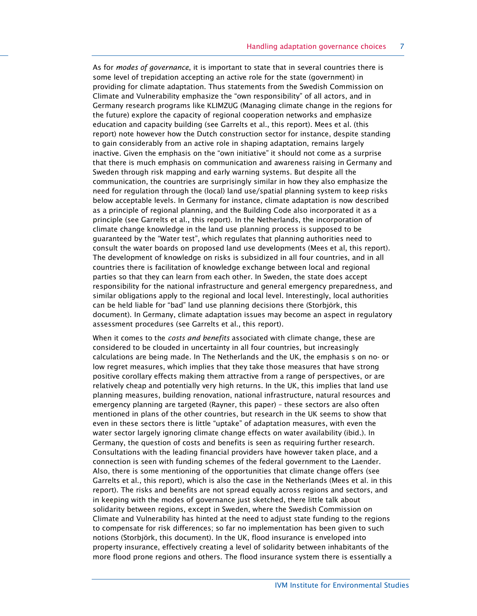As for *modes of governance*, it is important to state that in several countries there is some level of trepidation accepting an active role for the state (government) in providing for climate adaptation. Thus statements from the Swedish Commission on Climate and Vulnerability emphasize the "own responsibility" of all actors, and in Germany research programs like KLIMZUG (Managing climate change in the regions for the future) explore the capacity of regional cooperation networks and emphasize education and capacity building (see Garrelts et al., this report). Mees et al. (this report) note however how the Dutch construction sector for instance, despite standing to gain considerably from an active role in shaping adaptation, remains largely inactive. Given the emphasis on the "own initiative" it should not come as a surprise that there is much emphasis on communication and awareness raising in Germany and Sweden through risk mapping and early warning systems. But despite all the communication, the countries are surprisingly similar in how they also emphasize the need for regulation through the (local) land use/spatial planning system to keep risks below acceptable levels. In Germany for instance, climate adaptation is now described as a principle of regional planning, and the Building Code also incorporated it as a principle (see Garrelts et al., this report). In the Netherlands, the incorporation of climate change knowledge in the land use planning process is supposed to be guaranteed by the "Water test", which regulates that planning authorities need to consult the water boards on proposed land use developments (Mees et al, this report). The development of knowledge on risks is subsidized in all four countries, and in all countries there is facilitation of knowledge exchange between local and regional parties so that they can learn from each other. In Sweden, the state does accept responsibility for the national infrastructure and general emergency preparedness, and similar obligations apply to the regional and local level. Interestingly, local authorities can be held liable for "bad" land use planning decisions there (Storbjörk, this document). In Germany, climate adaptation issues may become an aspect in regulatory assessment procedures (see Garrelts et al., this report).

When it comes to the *costs and benefits* associated with climate change, these are considered to be clouded in uncertainty in all four countries, but increasingly calculations are being made. In The Netherlands and the UK, the emphasis s on no- or low regret measures, which implies that they take those measures that have strong positive corollary effects making them attractive from a range of perspectives, or are relatively cheap and potentially very high returns. In the UK, this implies that land use planning measures, building renovation, national infrastructure, natural resources and emergency planning are targeted (Rayner, this paper) – these sectors are also often mentioned in plans of the other countries, but research in the UK seems to show that even in these sectors there is little "uptake" of adaptation measures, with even the water sector largely ignoring climate change effects on water availability (ibid.). In Germany, the question of costs and benefits is seen as requiring further research. Consultations with the leading financial providers have however taken place, and a connection is seen with funding schemes of the federal government to the Laender. Also, there is some mentioning of the opportunities that climate change offers (see Garrelts et al., this report), which is also the case in the Netherlands (Mees et al. in this report). The risks and benefits are not spread equally across regions and sectors, and in keeping with the modes of governance just sketched, there little talk about solidarity between regions, except in Sweden, where the Swedish Commission on Climate and Vulnerability has hinted at the need to adjust state funding to the regions to compensate for risk differences; so far no implementation has been given to such notions (Storbjörk, this document). In the UK, flood insurance is enveloped into property insurance, effectively creating a level of solidarity between inhabitants of the more flood prone regions and others. The flood insurance system there is essentially a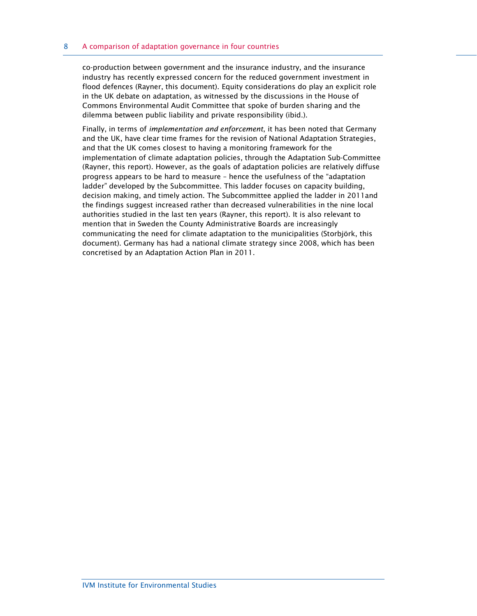co-production between government and the insurance industry, and the insurance industry has recently expressed concern for the reduced government investment in flood defences (Rayner, this document). Equity considerations do play an explicit role in the UK debate on adaptation, as witnessed by the discussions in the House of Commons Environmental Audit Committee that spoke of burden sharing and the dilemma between public liability and private responsibility (ibid.).

Finally, in terms of *implementation and enforcement*, it has been noted that Germany and the UK, have clear time frames for the revision of National Adaptation Strategies, and that the UK comes closest to having a monitoring framework for the implementation of climate adaptation policies, through the Adaptation Sub-Committee (Rayner, this report). However, as the goals of adaptation policies are relatively diffuse progress appears to be hard to measure – hence the usefulness of the "adaptation ladder" developed by the Subcommittee. This ladder focuses on capacity building, decision making, and timely action. The Subcommittee applied the ladder in 2011and the findings suggest increased rather than decreased vulnerabilities in the nine local authorities studied in the last ten years (Rayner, this report). It is also relevant to mention that in Sweden the County Administrative Boards are increasingly communicating the need for climate adaptation to the municipalities (Storbjörk, this document). Germany has had a national climate strategy since 2008, which has been concretised by an Adaptation Action Plan in 2011.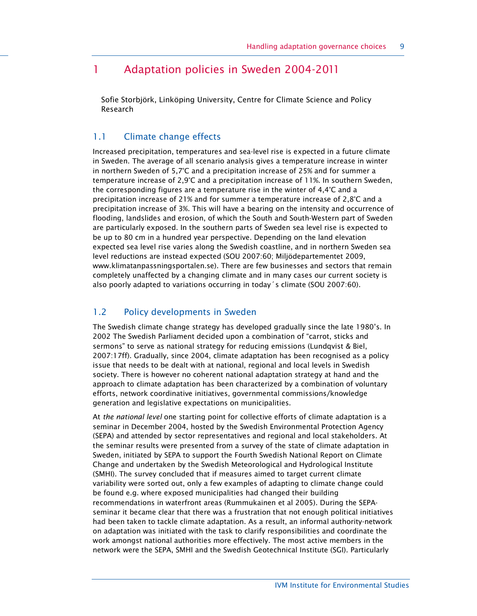## 1 Adaptation policies in Sweden 2004-2011

Sofie Storbjörk, Linköping University, Centre for Climate Science and Policy Research

### 1.1 Climate change effects

Increased precipitation, temperatures and sea-level rise is expected in a future climate in Sweden. The average of all scenario analysis gives a temperature increase in winter in northern Sweden of 5,7°C and a precipitation increase of 25% and for summer a temperature increase of 2,9°C and a precipitation increase of 11%. In southern Sweden, the corresponding figures are a temperature rise in the winter of 4,4°C and a precipitation increase of 21% and for summer a temperature increase of 2,8°C and a precipitation increase of 3%. This will have a bearing on the intensity and occurrence of flooding, landslides and erosion, of which the South and South-Western part of Sweden are particularly exposed. In the southern parts of Sweden sea level rise is expected to be up to 80 cm in a hundred year perspective. Depending on the land elevation expected sea level rise varies along the Swedish coastline, and in northern Sweden sea level reductions are instead expected (SOU 2007:60; Miljödepartementet 2009, www.klimatanpassningsportalen.se). There are few businesses and sectors that remain completely unaffected by a changing climate and in many cases our current society is also poorly adapted to variations occurring in today´s climate (SOU 2007:60).

#### 1.2 Policy developments in Sweden

The Swedish climate change strategy has developed gradually since the late 1980's. In 2002 The Swedish Parliament decided upon a combination of "carrot, sticks and sermons" to serve as national strategy for reducing emissions (Lundqvist & Biel, 2007:17ff). Gradually, since 2004, climate adaptation has been recognised as a policy issue that needs to be dealt with at national, regional and local levels in Swedish society. There is however no coherent national adaptation strategy at hand and the approach to climate adaptation has been characterized by a combination of voluntary efforts, network coordinative initiatives, governmental commissions/knowledge generation and legislative expectations on municipalities.

At the national level one starting point for collective efforts of climate adaptation is a seminar in December 2004, hosted by the Swedish Environmental Protection Agency (SEPA) and attended by sector representatives and regional and local stakeholders. At the seminar results were presented from a survey of the state of climate adaptation in Sweden, initiated by SEPA to support the Fourth Swedish National Report on Climate Change and undertaken by the Swedish Meteorological and Hydrological Institute (SMHI). The survey concluded that if measures aimed to target current climate variability were sorted out, only a few examples of adapting to climate change could be found e.g. where exposed municipalities had changed their building recommendations in waterfront areas (Rummukainen et al 2005). During the SEPAseminar it became clear that there was a frustration that not enough political initiatives had been taken to tackle climate adaptation. As a result, an informal authority-network on adaptation was initiated with the task to clarify responsibilities and coordinate the work amongst national authorities more effectively. The most active members in the network were the SEPA, SMHI and the Swedish Geotechnical Institute (SGI). Particularly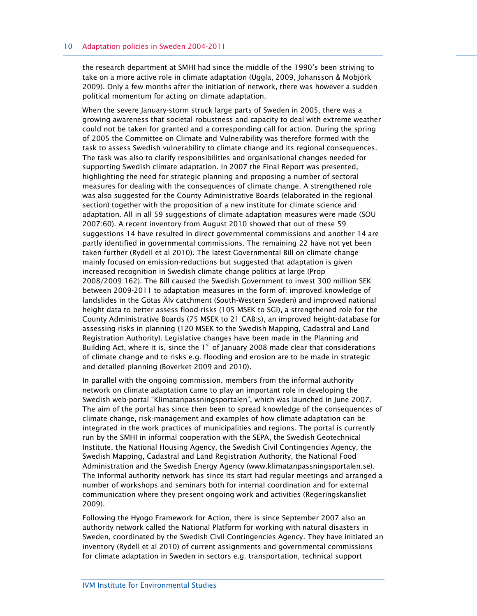the research department at SMHI had since the middle of the 1990's been striving to take on a more active role in climate adaptation (Uggla, 2009, Johansson & Mobjörk 2009). Only a few months after the initiation of network, there was however a sudden political momentum for acting on climate adaptation.

When the severe January-storm struck large parts of Sweden in 2005, there was a growing awareness that societal robustness and capacity to deal with extreme weather could not be taken for granted and a corresponding call for action. During the spring of 2005 the Committee on Climate and Vulnerability was therefore formed with the task to assess Swedish vulnerability to climate change and its regional consequences. The task was also to clarify responsibilities and organisational changes needed for supporting Swedish climate adaptation. In 2007 the Final Report was presented, highlighting the need for strategic planning and proposing a number of sectoral measures for dealing with the consequences of climate change. A strengthened role was also suggested for the County Administrative Boards (elaborated in the regional section) together with the proposition of a new institute for climate science and adaptation. All in all 59 suggestions of climate adaptation measures were made (SOU 2007:60). A recent inventory from August 2010 showed that out of these 59 suggestions 14 have resulted in direct governmental commissions and another 14 are partly identified in governmental commissions. The remaining 22 have not yet been taken further (Rydell et al 2010). The latest Governmental Bill on climate change mainly focused on emission-reductions but suggested that adaptation is given increased recognition in Swedish climate change politics at large (Prop 2008/2009:162). The Bill caused the Swedish Government to invest 300 million SEK between 2009-2011 to adaptation measures in the form of: improved knowledge of landslides in the Götas Älv catchment (South-Western Sweden) and improved national height data to better assess flood-risks (105 MSEK to SGI), a strengthened role for the County Administrative Boards (75 MSEK to 21 CAB:s), an improved height-database for assessing risks in planning (120 MSEK to the Swedish Mapping, Cadastral and Land Registration Authority). Legislative changes have been made in the Planning and Building Act, where it is, since the  $1<sup>st</sup>$  of January 2008 made clear that considerations of climate change and to risks e.g. flooding and erosion are to be made in strategic and detailed planning (Boverket 2009 and 2010).

In parallel with the ongoing commission, members from the informal authority network on climate adaptation came to play an important role in developing the Swedish web-portal "Klimatanpassningsportalen", which was launched in June 2007. The aim of the portal has since then been to spread knowledge of the consequences of climate change, risk-management and examples of how climate adaptation can be integrated in the work practices of municipalities and regions. The portal is currently run by the SMHI in informal cooperation with the SEPA, the Swedish Geotechnical Institute, the National Housing Agency, the Swedish Civil Contingencies Agency, the Swedish Mapping, Cadastral and Land Registration Authority, the National Food Administration and the Swedish Energy Agency (www.klimatanpassningsportalen.se). The informal authority network has since its start had regular meetings and arranged a number of workshops and seminars both for internal coordination and for external communication where they present ongoing work and activities (Regeringskansliet 2009).

Following the Hyogo Framework for Action, there is since September 2007 also an authority network called the National Platform for working with natural disasters in Sweden, coordinated by the Swedish Civil Contingencies Agency. They have initiated an inventory (Rydell et al 2010) of current assignments and governmental commissions for climate adaptation in Sweden in sectors e.g. transportation, technical support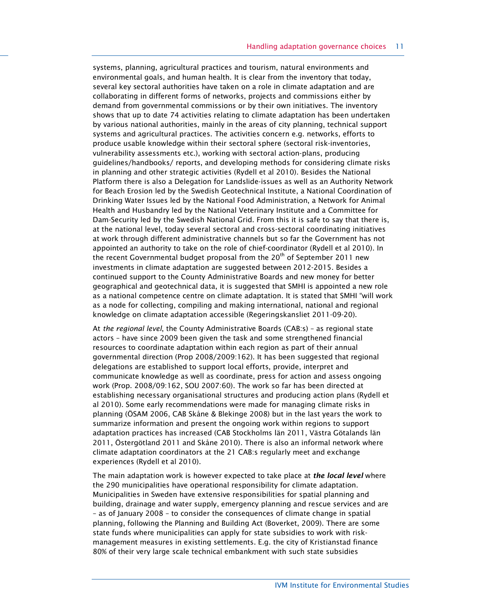systems, planning, agricultural practices and tourism, natural environments and environmental goals, and human health. It is clear from the inventory that today, several key sectoral authorities have taken on a role in climate adaptation and are collaborating in different forms of networks, projects and commissions either by demand from governmental commissions or by their own initiatives. The inventory shows that up to date 74 activities relating to climate adaptation has been undertaken by various national authorities, mainly in the areas of city planning, technical support systems and agricultural practices. The activities concern e.g. networks, efforts to produce usable knowledge within their sectoral sphere (sectoral risk-inventories, vulnerability assessments etc.), working with sectoral action-plans, producing guidelines/handbooks/ reports, and developing methods for considering climate risks in planning and other strategic activities (Rydell et al 2010). Besides the National Platform there is also a Delegation for Landslide-issues as well as an Authority Network for Beach Erosion led by the Swedish Geotechnical Institute, a National Coordination of Drinking Water Issues led by the National Food Administration, a Network for Animal Health and Husbandry led by the National Veterinary Institute and a Committee for Dam-Security led by the Swedish National Grid. From this it is safe to say that there is, at the national level, today several sectoral and cross-sectoral coordinating initiatives at work through different administrative channels but so far the Government has not appointed an authority to take on the role of chief-coordinator (Rydell et al 2010). In the recent Governmental budget proposal from the  $20<sup>th</sup>$  of September 2011 new investments in climate adaptation are suggested between 2012-2015. Besides a continued support to the County Administrative Boards and new money for better geographical and geotechnical data, it is suggested that SMHI is appointed a new role as a national competence centre on climate adaptation. It is stated that SMHI "will work as a node for collecting, compiling and making international, national and regional knowledge on climate adaptation accessible (Regeringskansliet 2011-09-20).

At the regional level, the County Administrative Boards (CAB:s) – as regional state actors – have since 2009 been given the task and some strengthened financial resources to coordinate adaptation within each region as part of their annual governmental direction (Prop 2008/2009:162). It has been suggested that regional delegations are established to support local efforts, provide, interpret and communicate knowledge as well as coordinate, press for action and assess ongoing work (Prop. 2008/09:162, SOU 2007:60). The work so far has been directed at establishing necessary organisational structures and producing action plans (Rydell et al 2010). Some early recommendations were made for managing climate risks in planning (ÖSAM 2006, CAB Skåne & Blekinge 2008) but in the last years the work to summarize information and present the ongoing work within regions to support adaptation practices has increased (CAB Stockholms län 2011, Västra Götalands län 2011, Östergötland 2011 and Skåne 2010). There is also an informal network where climate adaptation coordinators at the 21 CAB:s regularly meet and exchange experiences (Rydell et al 2010).

The main adaptation work is however expected to take place at *the local level* where the 290 municipalities have operational responsibility for climate adaptation. Municipalities in Sweden have extensive responsibilities for spatial planning and building, drainage and water supply, emergency planning and rescue services and are – as of January 2008 – to consider the consequences of climate change in spatial planning, following the Planning and Building Act (Boverket, 2009). There are some state funds where municipalities can apply for state subsidies to work with riskmanagement measures in existing settlements. E.g. the city of Kristianstad finance 80% of their very large scale technical embankment with such state subsidies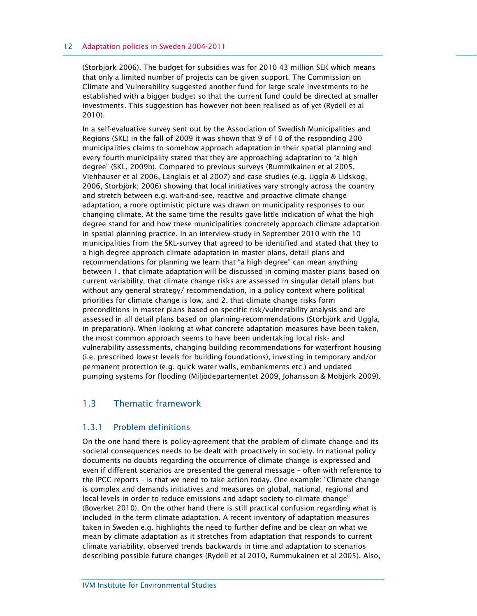#### 12 Adaptation policies in Sweden 2004-2011

(Storbjörk 2006). The budget for subsidies was for 2010 43 million SEK which means that only a limited number of projects can be given support. The Commission on Climate and Vulnerability suggested another fund for large scale investments to be established with a bigger budget so that the current fund could be directed at smaller investments. This suggestion has however not been realised as of yet (Rydell et al 2010).

In a self-evaluative survey sent out by the Association of Swedish Municipalities and Regions (SKL) in the fall of 2009 it was shown that 9 of 10 of the responding 200 municipalities claims to somehow approach adaptation in their spatial planning and every fourth municipality stated that they are approaching adaptation to "a high degree" (SKL, 2009b). Compared to previous surveys (Rummikainen et al 2005, Viehhauser et al 2006, Langlais et al 2007) and case studies (e.g. Uggla & Lidskog, 2006, Storbjörk; 2006) showing that local initiatives vary strongly across the country and stretch between e.g. wait-and-see, reactive and proactive climate change adaptation, a more optimistic picture was drawn on municipality responses to our changing climate. At the same time the results gave little indication of what the high degree stand for and how these municipalities concretely approach climate adaptation in spatial planning practice. In an interview-study in September 2010 with the 10 municipalities from the SKL-survey that agreed to be identified and stated that they to a high degree approach climate adaptation in master plans, detail plans and recommendations for planning we learn that "a high degree" can mean anything between 1. that climate adaptation will be discussed in coming master plans based on current variability, that climate change risks are assessed in singular detail plans but without any general strategy/ recommendation, in a policy context where political priorities for climate change is low, and 2. that climate change risks form preconditions in master plans based on specific risk/vulnerability analysis and are assessed in all detail plans based on planning-recommendations (Storbjörk and Uggla, in preparation). When looking at what concrete adaptation measures have been taken, the most common approach seems to have been undertaking local risk- and vulnerability assessments, changing building recommendations for waterfront housing (i.e. prescribed lowest levels for building foundations), investing in temporary and/or permanent protection (e.g. quick water walls, embankments etc.) and updated pumping systems for flooding (Miljödepartementet 2009, Johansson & Mobjörk 2009).

### 1.3 Thematic framework

### 1.3.1 Problem definitions

On the one hand there is policy-agreement that the problem of climate change and its societal consequences needs to be dealt with proactively in society. In national policy documents no doubts regarding the occurrence of climate change is expressed and even if different scenarios are presented the general message – often with reference to the IPCC-reports – is that we need to take action today. One example: "Climate change is complex and demands initiatives and measures on global, national, regional and local levels in order to reduce emissions and adapt society to climate change" (Boverket 2010). On the other hand there is still practical confusion regarding what is included in the term climate adaptation. A recent inventory of adaptation measures taken in Sweden e.g. highlights the need to further define and be clear on what we mean by climate adaptation as it stretches from adaptation that responds to current climate variability, observed trends backwards in time and adaptation to scenarios describing possible future changes (Rydell et al 2010, Rummukainen et al 2005). Also,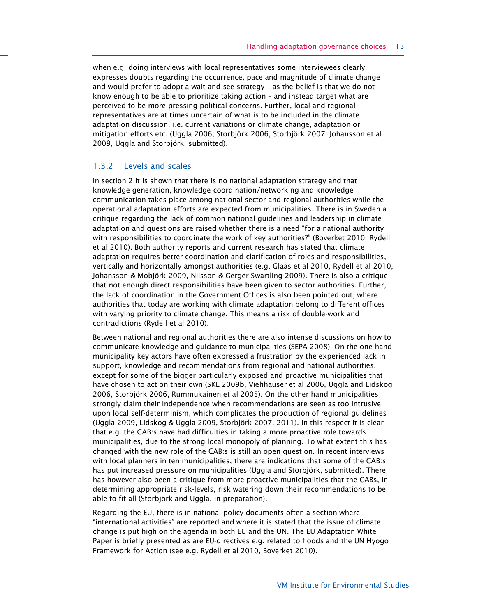when e.g. doing interviews with local representatives some interviewees clearly expresses doubts regarding the occurrence, pace and magnitude of climate change and would prefer to adopt a wait-and-see-strategy – as the belief is that we do not know enough to be able to prioritize taking action – and instead target what are perceived to be more pressing political concerns. Further, local and regional representatives are at times uncertain of what is to be included in the climate adaptation discussion, i.e. current variations or climate change, adaptation or mitigation efforts etc. (Uggla 2006, Storbjörk 2006, Storbjörk 2007, Johansson et al 2009, Uggla and Storbjörk, submitted).

#### 1.3.2 Levels and scales

In section 2 it is shown that there is no national adaptation strategy and that knowledge generation, knowledge coordination/networking and knowledge communication takes place among national sector and regional authorities while the operational adaptation efforts are expected from municipalities. There is in Sweden a critique regarding the lack of common national guidelines and leadership in climate adaptation and questions are raised whether there is a need "for a national authority with responsibilities to coordinate the work of key authorities?" (Boverket 2010, Rydell et al 2010). Both authority reports and current research has stated that climate adaptation requires better coordination and clarification of roles and responsibilities, vertically and horizontally amongst authorities (e.g. Glaas et al 2010, Rydell et al 2010, Johansson & Mobjörk 2009, Nilsson & Gerger Swartling 2009). There is also a critique that not enough direct responsibilities have been given to sector authorities. Further, the lack of coordination in the Government Offices is also been pointed out, where authorities that today are working with climate adaptation belong to different offices with varying priority to climate change. This means a risk of double-work and contradictions (Rydell et al 2010).

Between national and regional authorities there are also intense discussions on how to communicate knowledge and guidance to municipalities (SEPA 2008). On the one hand municipality key actors have often expressed a frustration by the experienced lack in support, knowledge and recommendations from regional and national authorities, except for some of the bigger particularly exposed and proactive municipalities that have chosen to act on their own (SKL 2009b, Viehhauser et al 2006, Uggla and Lidskog 2006, Storbjörk 2006, Rummukainen et al 2005). On the other hand municipalities strongly claim their independence when recommendations are seen as too intrusive upon local self-determinism, which complicates the production of regional guidelines (Uggla 2009, Lidskog & Uggla 2009, Storbjörk 2007, 2011). In this respect it is clear that e.g. the CAB:s have had difficulties in taking a more proactive role towards municipalities, due to the strong local monopoly of planning. To what extent this has changed with the new role of the CAB:s is still an open question. In recent interviews with local planners in ten municipalities, there are indications that some of the CAB:s has put increased pressure on municipalities (Uggla and Storbjörk, submitted). There has however also been a critique from more proactive municipalities that the CABs, in determining appropriate risk-levels, risk watering down their recommendations to be able to fit all (Storbjörk and Uggla, in preparation).

Regarding the EU, there is in national policy documents often a section where "international activities" are reported and where it is stated that the issue of climate change is put high on the agenda in both EU and the UN. The EU Adaptation White Paper is briefly presented as are EU-directives e.g. related to floods and the UN Hyogo Framework for Action (see e.g. Rydell et al 2010, Boverket 2010).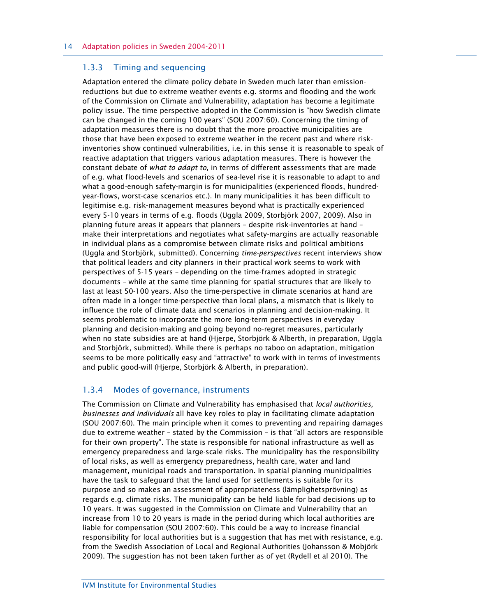#### 1.3.3 Timing and sequencing

Adaptation entered the climate policy debate in Sweden much later than emissionreductions but due to extreme weather events e.g. storms and flooding and the work of the Commission on Climate and Vulnerability, adaptation has become a legitimate policy issue. The time perspective adopted in the Commission is "how Swedish climate can be changed in the coming 100 years" (SOU 2007:60). Concerning the timing of adaptation measures there is no doubt that the more proactive municipalities are those that have been exposed to extreme weather in the recent past and where riskinventories show continued vulnerabilities, i.e. in this sense it is reasonable to speak of reactive adaptation that triggers various adaptation measures. There is however the constant debate of what to adapt to, in terms of different assessments that are made of e.g. what flood-levels and scenarios of sea-level rise it is reasonable to adapt to and what a good-enough safety-margin is for municipalities (experienced floods, hundredyear-flows, worst-case scenarios etc.). In many municipalities it has been difficult to legitimise e.g. risk-management measures beyond what is practically experienced every 5-10 years in terms of e.g. floods (Uggla 2009, Storbjörk 2007, 2009). Also in planning future areas it appears that planners – despite risk-inventories at hand – make their interpretations and negotiates what safety-margins are actually reasonable in individual plans as a compromise between climate risks and political ambitions (Uggla and Storbjörk, submitted). Concerning time-perspectives recent interviews show that political leaders and city planners in their practical work seems to work with perspectives of 5-15 years – depending on the time-frames adopted in strategic documents – while at the same time planning for spatial structures that are likely to last at least 50-100 years. Also the time-perspective in climate scenarios at hand are often made in a longer time-perspective than local plans, a mismatch that is likely to influence the role of climate data and scenarios in planning and decision-making. It seems problematic to incorporate the more long-term perspectives in everyday planning and decision-making and going beyond no-regret measures, particularly when no state subsidies are at hand (Hjerpe, Storbjörk & Alberth, in preparation, Uggla and Storbjörk, submitted). While there is perhaps no taboo on adaptation, mitigation seems to be more politically easy and "attractive" to work with in terms of investments and public good-will (Hjerpe, Storbjörk & Alberth, in preparation).

#### 1.3.4 Modes of governance, instruments

The Commission on Climate and Vulnerability has emphasised that *local authorities*, businesses and individuals all have key roles to play in facilitating climate adaptation (SOU 2007:60). The main principle when it comes to preventing and repairing damages due to extreme weather – stated by the Commission – is that "all actors are responsible for their own property". The state is responsible for national infrastructure as well as emergency preparedness and large-scale risks. The municipality has the responsibility of local risks, as well as emergency preparedness, health care, water and land management, municipal roads and transportation. In spatial planning municipalities have the task to safeguard that the land used for settlements is suitable for its purpose and so makes an assessment of appropriateness (lämplighetsprövning) as regards e.g. climate risks. The municipality can be held liable for bad decisions up to 10 years. It was suggested in the Commission on Climate and Vulnerability that an increase from 10 to 20 years is made in the period during which local authorities are liable for compensation (SOU 2007:60). This could be a way to increase financial responsibility for local authorities but is a suggestion that has met with resistance, e.g. from the Swedish Association of Local and Regional Authorities (Johansson & Mobjörk 2009). The suggestion has not been taken further as of yet (Rydell et al 2010). The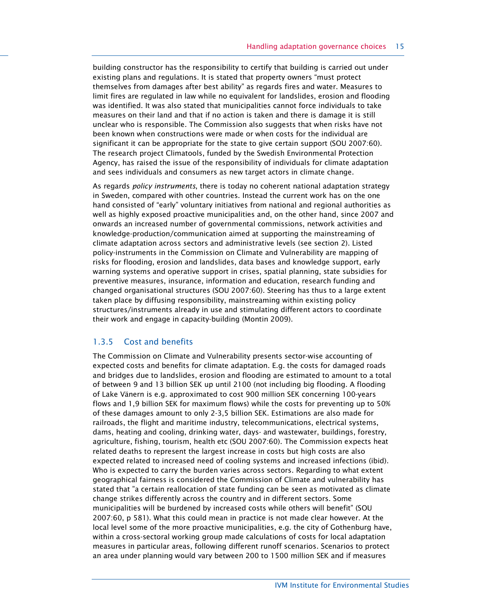building constructor has the responsibility to certify that building is carried out under existing plans and regulations. It is stated that property owners "must protect themselves from damages after best ability" as regards fires and water. Measures to limit fires are regulated in law while no equivalent for landslides, erosion and flooding was identified. It was also stated that municipalities cannot force individuals to take measures on their land and that if no action is taken and there is damage it is still unclear who is responsible. The Commission also suggests that when risks have not been known when constructions were made or when costs for the individual are significant it can be appropriate for the state to give certain support (SOU 2007:60). The research project Climatools, funded by the Swedish Environmental Protection Agency, has raised the issue of the responsibility of individuals for climate adaptation and sees individuals and consumers as new target actors in climate change.

As regards *policy instruments*, there is today no coherent national adaptation strategy in Sweden, compared with other countries. Instead the current work has on the one hand consisted of "early" voluntary initiatives from national and regional authorities as well as highly exposed proactive municipalities and, on the other hand, since 2007 and onwards an increased number of governmental commissions, network activities and knowledge-production/communication aimed at supporting the mainstreaming of climate adaptation across sectors and administrative levels (see section 2). Listed policy-instruments in the Commission on Climate and Vulnerability are mapping of risks for flooding, erosion and landslides, data bases and knowledge support, early warning systems and operative support in crises, spatial planning, state subsidies for preventive measures, insurance, information and education, research funding and changed organisational structures (SOU 2007:60). Steering has thus to a large extent taken place by diffusing responsibility, mainstreaming within existing policy structures/instruments already in use and stimulating different actors to coordinate their work and engage in capacity-building (Montin 2009).

#### 1.3.5 Cost and benefits

The Commission on Climate and Vulnerability presents sector-wise accounting of expected costs and benefits for climate adaptation. E.g. the costs for damaged roads and bridges due to landslides, erosion and flooding are estimated to amount to a total of between 9 and 13 billion SEK up until 2100 (not including big flooding. A flooding of Lake Vänern is e.g. approximated to cost 900 million SEK concerning 100-years flows and 1,9 billion SEK for maximum flows) while the costs for preventing up to 50% of these damages amount to only 2-3,5 billion SEK. Estimations are also made for railroads, the flight and maritime industry, telecommunications, electrical systems, dams, heating and cooling, drinking water, days- and wastewater, buildings, forestry, agriculture, fishing, tourism, health etc (SOU 2007:60). The Commission expects heat related deaths to represent the largest increase in costs but high costs are also expected related to increased need of cooling systems and increased infections (ibid). Who is expected to carry the burden varies across sectors. Regarding to what extent geographical fairness is considered the Commission of Climate and vulnerability has stated that "a certain reallocation of state funding can be seen as motivated as climate change strikes differently across the country and in different sectors. Some municipalities will be burdened by increased costs while others will benefit" (SOU 2007:60, p 581). What this could mean in practice is not made clear however. At the local level some of the more proactive municipalities, e.g. the city of Gothenburg have, within a cross-sectoral working group made calculations of costs for local adaptation measures in particular areas, following different runoff scenarios. Scenarios to protect an area under planning would vary between 200 to 1500 million SEK and if measures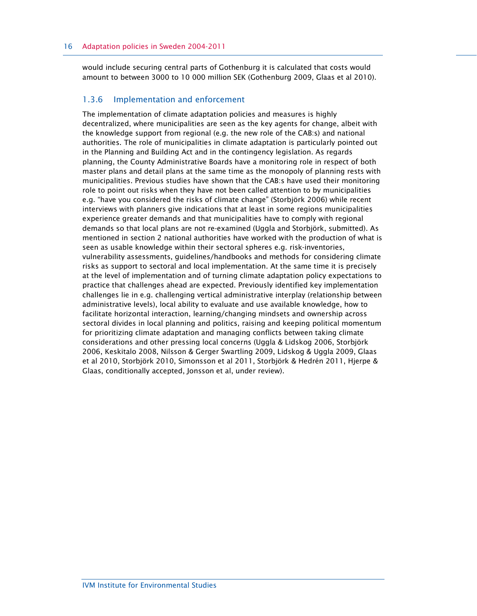would include securing central parts of Gothenburg it is calculated that costs would amount to between 3000 to 10 000 million SEK (Gothenburg 2009, Glaas et al 2010).

#### 1.3.6 Implementation and enforcement

The implementation of climate adaptation policies and measures is highly decentralized, where municipalities are seen as the key agents for change, albeit with the knowledge support from regional (e.g. the new role of the CAB:s) and national authorities. The role of municipalities in climate adaptation is particularly pointed out in the Planning and Building Act and in the contingency legislation. As regards planning, the County Administrative Boards have a monitoring role in respect of both master plans and detail plans at the same time as the monopoly of planning rests with municipalities. Previous studies have shown that the CAB:s have used their monitoring role to point out risks when they have not been called attention to by municipalities e.g. "have you considered the risks of climate change" (Storbjörk 2006) while recent interviews with planners give indications that at least in some regions municipalities experience greater demands and that municipalities have to comply with regional demands so that local plans are not re-examined (Uggla and Storbjörk, submitted). As mentioned in section 2 national authorities have worked with the production of what is seen as usable knowledge within their sectoral spheres e.g. risk-inventories, vulnerability assessments, guidelines/handbooks and methods for considering climate risks as support to sectoral and local implementation. At the same time it is precisely at the level of implementation and of turning climate adaptation policy expectations to practice that challenges ahead are expected. Previously identified key implementation challenges lie in e.g. challenging vertical administrative interplay (relationship between administrative levels), local ability to evaluate and use available knowledge, how to facilitate horizontal interaction, learning/changing mindsets and ownership across sectoral divides in local planning and politics, raising and keeping political momentum for prioritizing climate adaptation and managing conflicts between taking climate considerations and other pressing local concerns (Uggla & Lidskog 2006, Storbjörk 2006, Keskitalo 2008, Nilsson & Gerger Swartling 2009, Lidskog & Uggla 2009, Glaas et al 2010, Storbjörk 2010, Simonsson et al 2011, Storbjörk & Hedrén 2011, Hjerpe & Glaas, conditionally accepted, Jonsson et al, under review).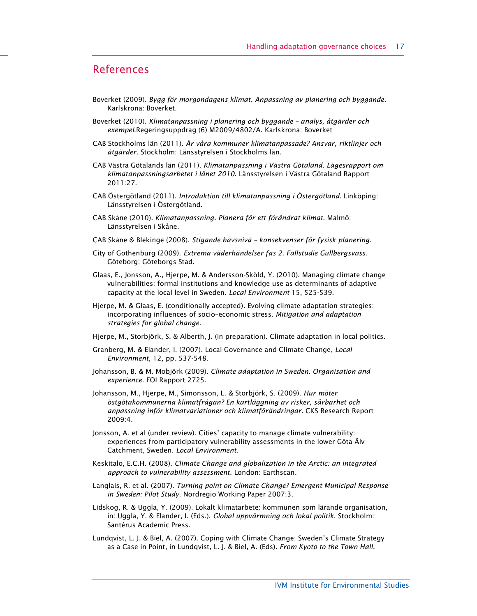## References

- Boverket (2009). Bygg för morgondagens klimat. Anpassning av planering och byggande. Karlskrona: Boverket.
- Boverket (2010). Klimatanpassning i planering och byggande analys, åtgärder och exempel.Regeringsuppdrag (6) M2009/4802/A. Karlskrona: Boverket
- CAB Stockholms län (2011). Är våra kommuner klimatanpassade? Ansvar, riktlinjer och åtgärder. Stockholm: Länsstyrelsen i Stockholms län.
- CAB Västra Götalands län (2011). Klimatanpassning i Västra Götaland. Lägesrapport om klimatanpassningsarbetet i länet 2010. Länsstyrelsen i Västra Götaland Rapport 2011:27.
- CAB Östergötland (2011). Introduktion till klimatanpassning i Östergötland. Linköping: Länsstyrelsen i Östergötland.
- CAB Skåne (2010). Klimatanpassning. Planera för ett förändrat klimat. Malmö: Länsstyrelsen i Skåne.
- CAB Skåne & Blekinge (2008). Stigande havsnivå konsekvenser för fysisk planering.
- City of Gothenburg (2009). Extrema väderhändelser fas 2. Fallstudie Gullbergsvass. Göteborg: Göteborgs Stad.
- Glaas, E., Jonsson, A., Hjerpe, M. & Andersson-Sköld, Y. (2010). Managing climate change vulnerabilities: formal institutions and knowledge use as determinants of adaptive capacity at the local level in Sweden. Local Environment 15, 525-539.
- Hjerpe, M. & Glaas, E. (conditionally accepted). Evolving climate adaptation strategies: incorporating influences of socio–economic stress. Mitigation and adaptation strategies for global change.
- Hjerpe, M., Storbjörk, S. & Alberth, J. (in preparation). Climate adaptation in local politics.
- Granberg, M. & Elander, I. (2007). Local Governance and Climate Change, Local Environment, 12, pp. 537-548.
- Johansson, B. & M. Mobjörk (2009). Climate adaptation in Sweden. Organisation and experience. FOI Rapport 2725.
- Johansson, M., Hjerpe, M., Simonsson, L. & Storbjörk, S. (2009). Hur möter östgötakommunerna klimatfrågan? En kartläggning av risker, sårbarhet och anpassning inför klimatvariationer och klimatförändringar. CKS Research Report 2009:4.
- Jonsson, A. et al (under review). Cities' capacity to manage climate vulnerability: experiences from participatory vulnerability assessments in the lower Göta Älv Catchment, Sweden. Local Environment.
- Keskitalo, E.C.H. (2008). Climate Change and globalization in the Arctic: an integrated approach to vulnerability assessment. London: Earthscan.
- Langlais, R. et al. (2007). Turning point on Climate Change? Emergent Municipal Response in Sweden: Pilot Study. Nordregio Working Paper 2007:3.
- Lidskog, R. & Uggla, Y. (2009). Lokalt klimatarbete: kommunen som lärande organisation, in: Uggla, Y. & Elander, I. (Eds.). Global uppvärmning och lokal politik. Stockholm: Santérus Academic Press.
- Lundqvist, L. J. & Biel, A. (2007). Coping with Climate Change: Sweden's Climate Strategy as a Case in Point, in Lundqvist, L. J. & Biel, A. (Eds). From Kyoto to the Town Hall.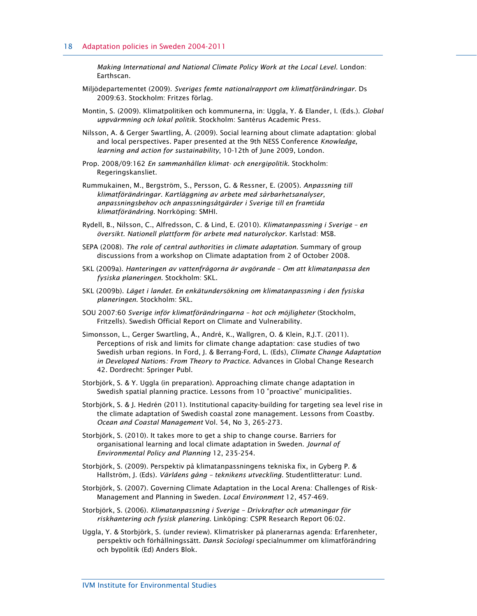Making International and National Climate Policy Work at the Local Level. London: Earthscan.

- Miljödepartementet (2009). Sveriges femte nationalrapport om klimatförändringar. Ds 2009:63. Stockholm: Fritzes förlag.
- Montin, S. (2009). Klimatpolitiken och kommunerna, in: Uggla, Y. & Elander, I. (Eds.). Global uppvärmning och lokal politik. Stockholm: Santérus Academic Press.
- Nilsson, A. & Gerger Swartling, Å. (2009). Social learning about climate adaptation: global and local perspectives. Paper presented at the 9th NESS Conference Knowledge, learning and action for sustainability, 10-12th of June 2009, London.
- Prop. 2008/09:162 En sammanhållen klimat- och energipolitik. Stockholm: Regeringskansliet.
- Rummukainen, M., Bergström, S., Persson, G. & Ressner, E. (2005). Anpassning till klimatförändringar. Kartläggning av arbete med sårbarhetsanalyser, anpassningsbehov och anpassningsåtgärder i Sverige till en framtida klimatförändring. Norrköping: SMHI.
- Rydell, B., Nilsson, C., Alfredsson, C. & Lind, E. (2010). Klimatanpassning i Sverige en översikt. Nationell plattform för arbete med naturolyckor. Karlstad: MSB.
- SEPA (2008). The role of central authorities in climate adaptation. Summary of group discussions from a workshop on Climate adaptation from 2 of October 2008.
- SKL (2009a). Hanteringen av vattenfrågorna är avgörande Om att klimatanpassa den fysiska planeringen. Stockholm: SKL.
- SKL (2009b). Läget i landet. En enkätundersökning om klimatanpassning i den fysiska planeringen. Stockholm: SKL.
- SOU 2007:60 Sverige inför klimatförändringarna hot och möjligheter (Stockholm, Fritzells). Swedish Official Report on Climate and Vulnerability.
- Simonsson, L., Gerger Swartling, Å., André, K., Wallgren, O. & Klein, R.J.T. (2011). Perceptions of risk and limits for climate change adaptation: case studies of two Swedish urban regions. In Ford, J. & Berrang-Ford, L. (Eds), Climate Change Adaptation in Developed Nations: From Theory to Practice. Advances in Global Change Research 42. Dordrecht: Springer Publ.
- Storbjörk, S. & Y. Uggla (in preparation). Approaching climate change adaptation in Swedish spatial planning practice. Lessons from 10 "proactive" municipalities.
- Storbjörk, S. & J. Hedrén (2011). Institutional capacity-building for targeting sea level rise in the climate adaptation of Swedish coastal zone management. Lessons from Coastby. Ocean and Coastal Management Vol. 54, No 3, 265-273.
- Storbjörk, S. (2010). It takes more to get a ship to change course. Barriers for organisational learning and local climate adaptation in Sweden. Journal of Environmental Policy and Planning 12, 235-254.
- Storbjörk, S. (2009). Perspektiv på klimatanpassningens tekniska fix, in Gyberg P. & Hallström, J. (Eds). Världens gång – teknikens utveckling. Studentlitteratur: Lund.
- Storbjörk, S. (2007). Governing Climate Adaptation in the Local Arena: Challenges of Risk-Management and Planning in Sweden. Local Environment 12, 457-469.
- Storbjörk, S. (2006). Klimatanpassning i Sverige Drivkrafter och utmaningar för riskhantering och fysisk planering. Linköping: CSPR Research Report 06:02.
- Uggla, Y. & Storbjörk, S. (under review). Klimatrisker på planerarnas agenda: Erfarenheter, perspektiv och förhållningssätt. Dansk Sociologi specialnummer om klimatförändring och bypolitik (Ed) Anders Blok.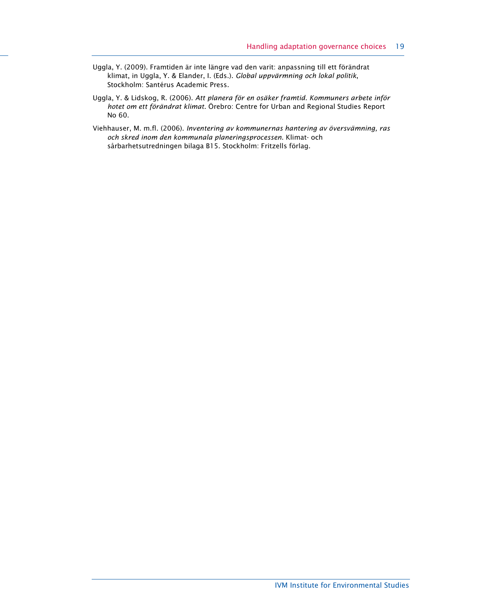- Uggla, Y. (2009). Framtiden är inte längre vad den varit: anpassning till ett förändrat klimat, in Uggla, Y. & Elander, I. (Eds.). Global uppvärmning och lokal politik, Stockholm: Santérus Academic Press.
- Uggla, Y. & Lidskog, R. (2006). Att planera för en osäker framtid. Kommuners arbete inför hotet om ett förändrat klimat. Örebro: Centre for Urban and Regional Studies Report No 60.
- Viehhauser, M. m.fl. (2006). Inventering av kommunernas hantering av översvämning, ras och skred inom den kommunala planeringsprocessen. Klimat- och sårbarhetsutredningen bilaga B15. Stockholm: Fritzells förlag.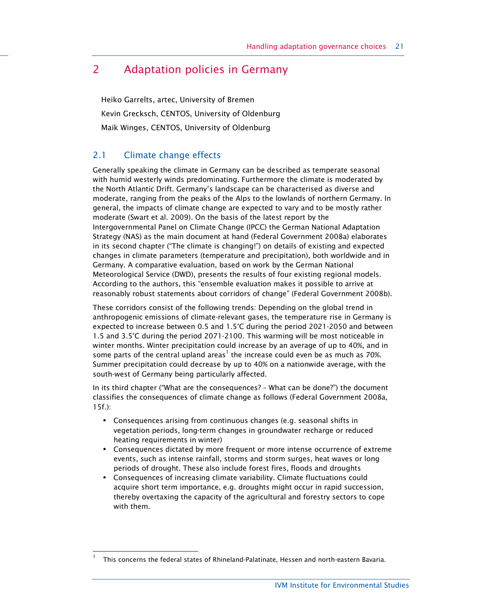## 2 Adaptation policies in Germany

Heiko Garrelts, artec, University of Bremen Kevin Grecksch, CENTOS, University of Oldenburg Maik Winges, CENTOS, University of Oldenburg

## 2.1 Climate change effects

1

Generally speaking the climate in Germany can be described as temperate seasonal with humid westerly winds predominating. Furthermore the climate is moderated by the North Atlantic Drift. Germany's landscape can be characterised as diverse and moderate, ranging from the peaks of the Alps to the lowlands of northern Germany. In general, the impacts of climate change are expected to vary and to be mostly rather moderate (Swart et al. 2009). On the basis of the latest report by the Intergovernmental Panel on Climate Change (IPCC) the German National Adaptation Strategy (NAS) as the main document at hand (Federal Government 2008a) elaborates in its second chapter ("The climate is changing!") on details of existing and expected changes in climate parameters (temperature and precipitation), both worldwide and in Germany. A comparative evaluation, based on work by the German National Meteorological Service (DWD), presents the results of four existing regional models. According to the authors, this "ensemble evaluation makes it possible to arrive at reasonably robust statements about corridors of change" (Federal Government 2008b).

These corridors consist of the following trends: Depending on the global trend in anthropogenic emissions of climate-relevant gases, the temperature rise in Germany is expected to increase between 0.5 and 1.5°C during the period 2021-2050 and between 1.5 and 3.5°C during the period 2071-2100. This warming will be most noticeable in winter months. Winter precipitation could increase by an average of up to 40%, and in some parts of the central upland areas<sup>1</sup> the increase could even be as much as 70%. Summer precipitation could decrease by up to 40% on a nationwide average, with the south-west of Germany being particularly affected.

In its third chapter ("What are the consequences? – What can be done?") the document classifies the consequences of climate change as follows (Federal Government 2008a, 15f.):

- **•** Consequences arising from continuous changes (e.g. seasonal shifts in vegetation periods, long-term changes in groundwater recharge or reduced heating requirements in winter)
- **•** Consequences dictated by more frequent or more intense occurrence of extreme events, such as intense rainfall, storms and storm surges, heat waves or long periods of drought. These also include forest fires, floods and droughts
- **•** Consequences of increasing climate variability. Climate fluctuations could acquire short term importance, e.g. droughts might occur in rapid succession, thereby overtaxing the capacity of the agricultural and forestry sectors to cope with them.

<sup>1</sup> This concerns the federal states of Rhineland-Palatinate, Hessen and north-eastern Bavaria.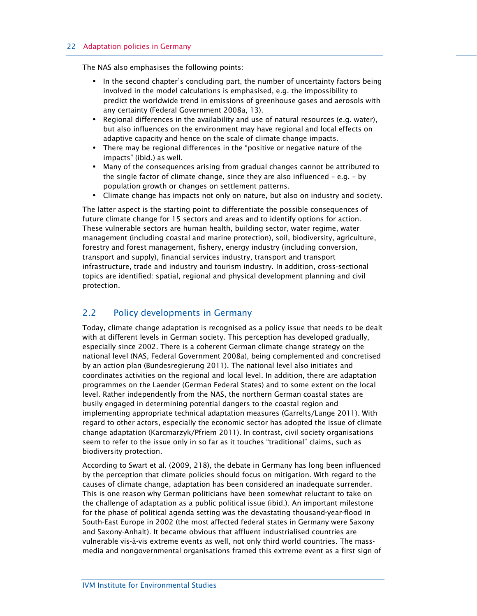The NAS also emphasises the following points:

- **•** In the second chapter's concluding part, the number of uncertainty factors being involved in the model calculations is emphasised, e.g. the impossibility to predict the worldwide trend in emissions of greenhouse gases and aerosols with any certainty (Federal Government 2008a, 13).
- **•** Regional differences in the availability and use of natural resources (e.g. water), but also influences on the environment may have regional and local effects on adaptive capacity and hence on the scale of climate change impacts.
- **•** There may be regional differences in the "positive or negative nature of the impacts" (ibid.) as well.
- **•** Many of the consequences arising from gradual changes cannot be attributed to the single factor of climate change, since they are also influenced – e.g. – by population growth or changes on settlement patterns.
- **•** Climate change has impacts not only on nature, but also on industry and society.

The latter aspect is the starting point to differentiate the possible consequences of future climate change for 15 sectors and areas and to identify options for action. These vulnerable sectors are human health, building sector, water regime, water management (including coastal and marine protection), soil, biodiversity, agriculture, forestry and forest management, fishery, energy industry (including conversion, transport and supply), financial services industry, transport and transport infrastructure, trade and industry and tourism industry. In addition, cross-sectional topics are identified: spatial, regional and physical development planning and civil protection.

### 2.2 Policy developments in Germany

Today, climate change adaptation is recognised as a policy issue that needs to be dealt with at different levels in German society. This perception has developed gradually, especially since 2002. There is a coherent German climate change strategy on the national level (NAS, Federal Government 2008a), being complemented and concretised by an action plan (Bundesregierung 2011). The national level also initiates and coordinates activities on the regional and local level. In addition, there are adaptation programmes on the Laender (German Federal States) and to some extent on the local level. Rather independently from the NAS, the northern German coastal states are busily engaged in determining potential dangers to the coastal region and implementing appropriate technical adaptation measures (Garrelts/Lange 2011). With regard to other actors, especially the economic sector has adopted the issue of climate change adaptation (Karcmarzyk/Pfriem 2011). In contrast, civil society organisations seem to refer to the issue only in so far as it touches "traditional" claims, such as biodiversity protection.

According to Swart et al. (2009, 218), the debate in Germany has long been influenced by the perception that climate policies should focus on mitigation. With regard to the causes of climate change, adaptation has been considered an inadequate surrender. This is one reason why German politicians have been somewhat reluctant to take on the challenge of adaptation as a public political issue (ibid.). An important milestone for the phase of political agenda setting was the devastating thousand-year-flood in South-East Europe in 2002 (the most affected federal states in Germany were Saxony and Saxony-Anhalt). It became obvious that affluent industrialised countries are vulnerable vis-à-vis extreme events as well, not only third world countries. The massmedia and nongovernmental organisations framed this extreme event as a first sign of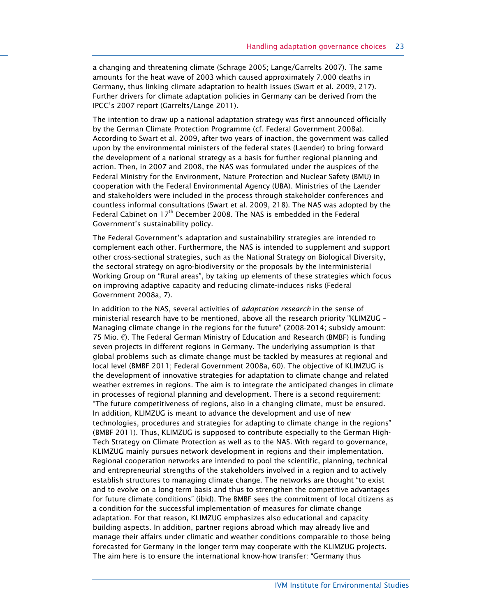a changing and threatening climate (Schrage 2005; Lange/Garrelts 2007). The same amounts for the heat wave of 2003 which caused approximately 7.000 deaths in Germany, thus linking climate adaptation to health issues (Swart et al. 2009, 217). Further drivers for climate adaptation policies in Germany can be derived from the IPCC's 2007 report (Garrelts/Lange 2011).

The intention to draw up a national adaptation strategy was first announced officially by the German Climate Protection Programme (cf. Federal Government 2008a). According to Swart et al. 2009, after two years of inaction, the government was called upon by the environmental ministers of the federal states (Laender) to bring forward the development of a national strategy as a basis for further regional planning and action. Then, in 2007 and 2008, the NAS was formulated under the auspices of the Federal Ministry for the Environment, Nature Protection and Nuclear Safety (BMU) in cooperation with the Federal Environmental Agency (UBA). Ministries of the Laender and stakeholders were included in the process through stakeholder conferences and countless informal consultations (Swart et al. 2009, 218). The NAS was adopted by the Federal Cabinet on  $17<sup>th</sup>$  December 2008. The NAS is embedded in the Federal Government's sustainability policy.

The Federal Government's adaptation and sustainability strategies are intended to complement each other. Furthermore, the NAS is intended to supplement and support other cross-sectional strategies, such as the National Strategy on Biological Diversity, the sectoral strategy on agro-biodiversity or the proposals by the Interministerial Working Group on "Rural areas", by taking up elements of these strategies which focus on improving adaptive capacity and reducing climate-induces risks (Federal Government 2008a, 7).

In addition to the NAS, several activities of *adaptation research* in the sense of ministerial research have to be mentioned, above all the research priority "KLIMZUG – Managing climate change in the regions for the future" (2008-2014; subsidy amount: 75 Mio.  $€$ ). The Federal German Ministry of Education and Research (BMBF) is funding seven projects in different regions in Germany. The underlying assumption is that global problems such as climate change must be tackled by measures at regional and local level (BMBF 2011; Federal Government 2008a, 60). The objective of KLIMZUG is the development of innovative strategies for adaptation to climate change and related weather extremes in regions. The aim is to integrate the anticipated changes in climate in processes of regional planning and development. There is a second requirement: "The future competitiveness of regions, also in a changing climate, must be ensured. In addition, KLIMZUG is meant to advance the development and use of new technologies, procedures and strategies for adapting to climate change in the regions" (BMBF 2011). Thus, KLIMZUG is supposed to contribute especially to the German High-Tech Strategy on Climate Protection as well as to the NAS. With regard to governance, KLIMZUG mainly pursues network development in regions and their implementation. Regional cooperation networks are intended to pool the scientific, planning, technical and entrepreneurial strengths of the stakeholders involved in a region and to actively establish structures to managing climate change. The networks are thought "to exist and to evolve on a long term basis and thus to strengthen the competitive advantages for future climate conditions" (ibid). The BMBF sees the commitment of local citizens as a condition for the successful implementation of measures for climate change adaptation. For that reason, KLIMZUG emphasizes also educational and capacity building aspects. In addition, partner regions abroad which may already live and manage their affairs under climatic and weather conditions comparable to those being forecasted for Germany in the longer term may cooperate with the KLIMZUG projects. The aim here is to ensure the international know-how transfer: "Germany thus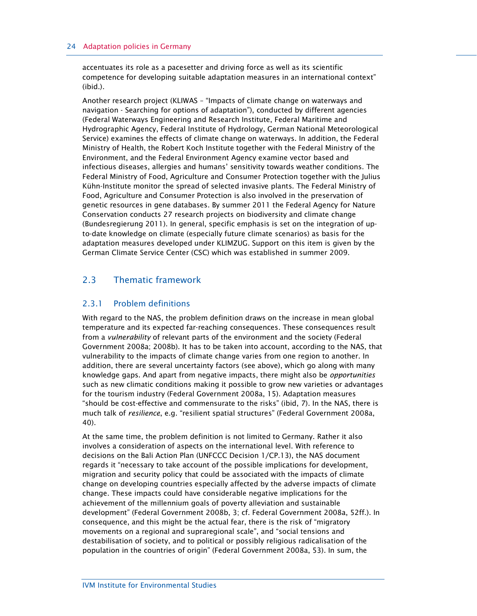#### 24 Adaptation policies in Germany

accentuates its role as a pacesetter and driving force as well as its scientific competence for developing suitable adaptation measures in an international context" (ibid.).

Another research project (KLIWAS – "Impacts of climate change on waterways and navigation - Searching for options of adaptation"), conducted by different agencies (Federal Waterways Engineering and Research Institute, Federal Maritime and Hydrographic Agency, Federal Institute of Hydrology, German National Meteorological Service) examines the effects of climate change on waterways. In addition, the Federal Ministry of Health, the Robert Koch Institute together with the Federal Ministry of the Environment, and the Federal Environment Agency examine vector based and infectious diseases, allergies and humans' sensitivity towards weather conditions. The Federal Ministry of Food, Agriculture and Consumer Protection together with the Julius Kühn-Institute monitor the spread of selected invasive plants. The Federal Ministry of Food, Agriculture and Consumer Protection is also involved in the preservation of genetic resources in gene databases. By summer 2011 the Federal Agency for Nature Conservation conducts 27 research projects on biodiversity and climate change (Bundesregierung 2011). In general, specific emphasis is set on the integration of upto-date knowledge on climate (especially future climate scenarios) as basis for the adaptation measures developed under KLIMZUG. Support on this item is given by the German Climate Service Center (CSC) which was established in summer 2009.

## 2.3 Thematic framework

### 2.3.1 Problem definitions

With regard to the NAS, the problem definition draws on the increase in mean global temperature and its expected far-reaching consequences. These consequences result from a *vulnerability* of relevant parts of the environment and the society (Federal Government 2008a; 2008b). It has to be taken into account, according to the NAS, that vulnerability to the impacts of climate change varies from one region to another. In addition, there are several uncertainty factors (see above), which go along with many knowledge gaps. And apart from negative impacts, there might also be opportunities such as new climatic conditions making it possible to grow new varieties or advantages for the tourism industry (Federal Government 2008a, 15). Adaptation measures "should be cost-effective and commensurate to the risks" (ibid, 7). In the NAS, there is much talk of resilience, e.g. "resilient spatial structures" (Federal Government 2008a, 40).

At the same time, the problem definition is not limited to Germany. Rather it also involves a consideration of aspects on the international level. With reference to decisions on the Bali Action Plan (UNFCCC Decision 1/CP.13), the NAS document regards it "necessary to take account of the possible implications for development, migration and security policy that could be associated with the impacts of climate change on developing countries especially affected by the adverse impacts of climate change. These impacts could have considerable negative implications for the achievement of the millennium goals of poverty alleviation and sustainable development" (Federal Government 2008b, 3; cf. Federal Government 2008a, 52ff.). In consequence, and this might be the actual fear, there is the risk of "migratory movements on a regional and supraregional scale", and "social tensions and destabilisation of society, and to political or possibly religious radicalisation of the population in the countries of origin" (Federal Government 2008a, 53). In sum, the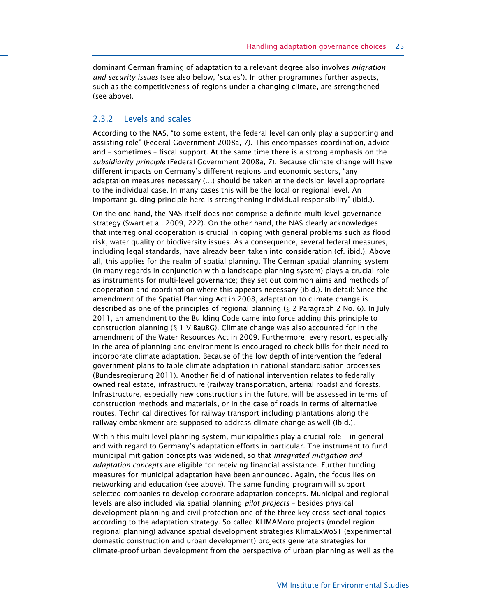dominant German framing of adaptation to a relevant degree also involves *migration* and security issues (see also below, 'scales'). In other programmes further aspects, such as the competitiveness of regions under a changing climate, are strengthened (see above).

#### 2.3.2 Levels and scales

According to the NAS, "to some extent, the federal level can only play a supporting and assisting role" (Federal Government 2008a, 7). This encompasses coordination, advice and – sometimes – fiscal support. At the same time there is a strong emphasis on the subsidiarity principle (Federal Government 2008a, 7). Because climate change will have different impacts on Germany's different regions and economic sectors, "any adaptation measures necessary (…) should be taken at the decision level appropriate to the individual case. In many cases this will be the local or regional level. An important guiding principle here is strengthening individual responsibility" (ibid.).

On the one hand, the NAS itself does not comprise a definite multi-level-governance strategy (Swart et al. 2009, 222). On the other hand, the NAS clearly acknowledges that interregional cooperation is crucial in coping with general problems such as flood risk, water quality or biodiversity issues. As a consequence, several federal measures, including legal standards, have already been taken into consideration (cf. ibid.). Above all, this applies for the realm of spatial planning. The German spatial planning system (in many regards in conjunction with a landscape planning system) plays a crucial role as instruments for multi-level governance; they set out common aims and methods of cooperation and coordination where this appears necessary (ibid.). In detail: Since the amendment of the Spatial Planning Act in 2008, adaptation to climate change is described as one of the principles of regional planning (§ 2 Paragraph 2 No. 6). In July 2011, an amendment to the Building Code came into force adding this principle to construction planning (§ 1 V BauBG). Climate change was also accounted for in the amendment of the Water Resources Act in 2009. Furthermore, every resort, especially in the area of planning and environment is encouraged to check bills for their need to incorporate climate adaptation. Because of the low depth of intervention the federal government plans to table climate adaptation in national standardisation processes (Bundesregierung 2011). Another field of national intervention relates to federally owned real estate, infrastructure (railway transportation, arterial roads) and forests. Infrastructure, especially new constructions in the future, will be assessed in terms of construction methods and materials, or in the case of roads in terms of alternative routes. Technical directives for railway transport including plantations along the railway embankment are supposed to address climate change as well (ibid.).

Within this multi-level planning system, municipalities play a crucial role – in general and with regard to Germany's adaptation efforts in particular. The instrument to fund municipal mitigation concepts was widened, so that integrated mitigation and adaptation concepts are eligible for receiving financial assistance. Further funding measures for municipal adaptation have been announced. Again, the focus lies on networking and education (see above). The same funding program will support selected companies to develop corporate adaptation concepts. Municipal and regional levels are also included via spatial planning pilot projects – besides physical development planning and civil protection one of the three key cross-sectional topics according to the adaptation strategy. So called KLIMAMoro projects (model region regional planning) advance spatial development strategies KlimaExWoST (experimental domestic construction and urban development) projects generate strategies for climate-proof urban development from the perspective of urban planning as well as the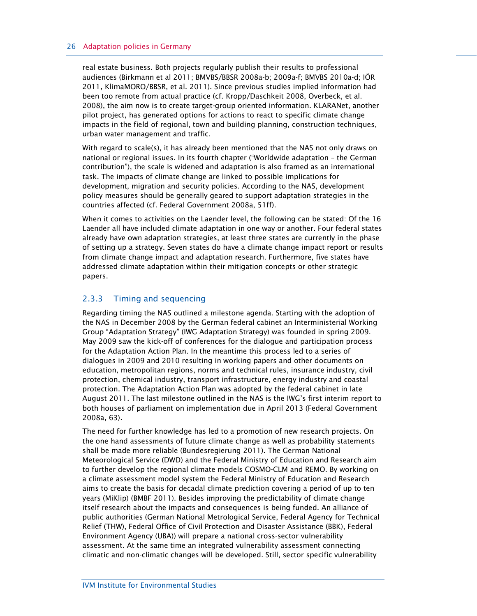real estate business. Both projects regularly publish their results to professional audiences (Birkmann et al 2011; BMVBS/BBSR 2008a-b; 2009a-f; BMVBS 2010a-d; IÖR 2011, KlimaMORO/BBSR, et al. 2011). Since previous studies implied information had been too remote from actual practice (cf. Kropp/Daschkeit 2008, Overbeck, et al. 2008), the aim now is to create target-group oriented information. KLARANet, another pilot project, has generated options for actions to react to specific climate change impacts in the field of regional, town and building planning, construction techniques, urban water management and traffic.

With regard to scale(s), it has already been mentioned that the NAS not only draws on national or regional issues. In its fourth chapter ("Worldwide adaptation – the German contribution"), the scale is widened and adaptation is also framed as an international task. The impacts of climate change are linked to possible implications for development, migration and security policies. According to the NAS, development policy measures should be generally geared to support adaptation strategies in the countries affected (cf. Federal Government 2008a, 51ff).

When it comes to activities on the Laender level, the following can be stated: Of the 16 Laender all have included climate adaptation in one way or another. Four federal states already have own adaptation strategies, at least three states are currently in the phase of setting up a strategy. Seven states do have a climate change impact report or results from climate change impact and adaptation research. Furthermore, five states have addressed climate adaptation within their mitigation concepts or other strategic papers.

#### 2.3.3 Timing and sequencing

Regarding timing the NAS outlined a milestone agenda. Starting with the adoption of the NAS in December 2008 by the German federal cabinet an Interministerial Working Group "Adaptation Strategy" (IWG Adaptation Strategy) was founded in spring 2009. May 2009 saw the kick-off of conferences for the dialogue and participation process for the Adaptation Action Plan. In the meantime this process led to a series of dialogues in 2009 and 2010 resulting in working papers and other documents on education, metropolitan regions, norms and technical rules, insurance industry, civil protection, chemical industry, transport infrastructure, energy industry and coastal protection. The Adaptation Action Plan was adopted by the federal cabinet in late August 2011. The last milestone outlined in the NAS is the IWG's first interim report to both houses of parliament on implementation due in April 2013 (Federal Government 2008a, 63).

The need for further knowledge has led to a promotion of new research projects. On the one hand assessments of future climate change as well as probability statements shall be made more reliable (Bundesregierung 2011). The German National Meteorological Service (DWD) and the Federal Ministry of Education and Research aim to further develop the regional climate models COSMO-CLM and REMO. By working on a climate assessment model system the Federal Ministry of Education and Research aims to create the basis for decadal climate prediction covering a period of up to ten years (MiKlip) (BMBF 2011). Besides improving the predictability of climate change itself research about the impacts and consequences is being funded. An alliance of public authorities (German National Metrological Service, Federal Agency for Technical Relief (THW), Federal Office of Civil Protection and Disaster Assistance (BBK), Federal Environment Agency (UBA)) will prepare a national cross-sector vulnerability assessment. At the same time an integrated vulnerability assessment connecting climatic and non-climatic changes will be developed. Still, sector specific vulnerability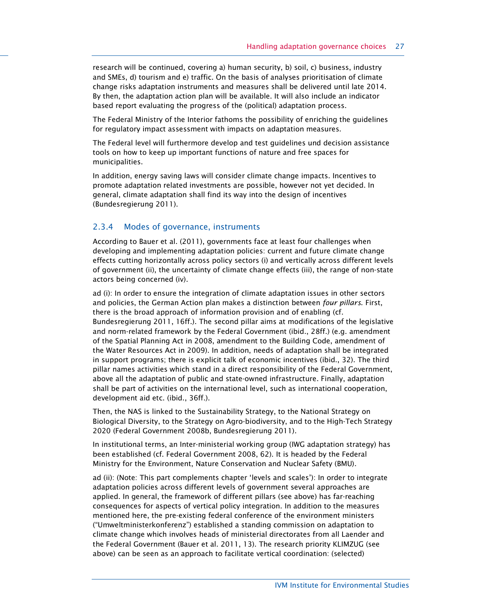research will be continued, covering a) human security, b) soil, c) business, industry and SMEs, d) tourism and e) traffic. On the basis of analyses prioritisation of climate change risks adaptation instruments and measures shall be delivered until late 2014. By then, the adaptation action plan will be available. It will also include an indicator based report evaluating the progress of the (political) adaptation process.

The Federal Ministry of the Interior fathoms the possibility of enriching the guidelines for regulatory impact assessment with impacts on adaptation measures.

The Federal level will furthermore develop and test guidelines und decision assistance tools on how to keep up important functions of nature and free spaces for municipalities.

In addition, energy saving laws will consider climate change impacts. Incentives to promote adaptation related investments are possible, however not yet decided. In general, climate adaptation shall find its way into the design of incentives (Bundesregierung 2011).

#### 2.3.4 Modes of governance, instruments

According to Bauer et al. (2011), governments face at least four challenges when developing and implementing adaptation policies: current and future climate change effects cutting horizontally across policy sectors (i) and vertically across different levels of government (ii), the uncertainty of climate change effects (iii), the range of non-state actors being concerned (iv).

ad (i): In order to ensure the integration of climate adaptation issues in other sectors and policies, the German Action plan makes a distinction between four pillars. First, there is the broad approach of information provision and of enabling (cf. Bundesregierung 2011, 16ff.). The second pillar aims at modifications of the legislative and norm-related framework by the Federal Government (ibid., 28ff.) (e.g. amendment of the Spatial Planning Act in 2008, amendment to the Building Code, amendment of the Water Resources Act in 2009). In addition, needs of adaptation shall be integrated in support programs; there is explicit talk of economic incentives (ibid., 32). The third pillar names activities which stand in a direct responsibility of the Federal Government, above all the adaptation of public and state-owned infrastructure. Finally, adaptation shall be part of activities on the international level, such as international cooperation, development aid etc. (ibid., 36ff.).

Then, the NAS is linked to the Sustainability Strategy, to the National Strategy on Biological Diversity, to the Strategy on Agro-biodiversity, and to the High-Tech Strategy 2020 (Federal Government 2008b, Bundesregierung 2011).

In institutional terms, an Inter-ministerial working group (IWG adaptation strategy) has been established (cf. Federal Government 2008, 62). It is headed by the Federal Ministry for the Environment, Nature Conservation and Nuclear Safety (BMU).

ad (ii): (Note: This part complements chapter 'levels and scales'): In order to integrate adaptation policies across different levels of government several approaches are applied. In general, the framework of different pillars (see above) has far-reaching consequences for aspects of vertical policy integration. In addition to the measures mentioned here, the pre-existing federal conference of the environment ministers ("Umweltministerkonferenz") established a standing commission on adaptation to climate change which involves heads of ministerial directorates from all Laender and the Federal Government (Bauer et al. 2011, 13). The research priority KLIMZUG (see above) can be seen as an approach to facilitate vertical coordination: (selected)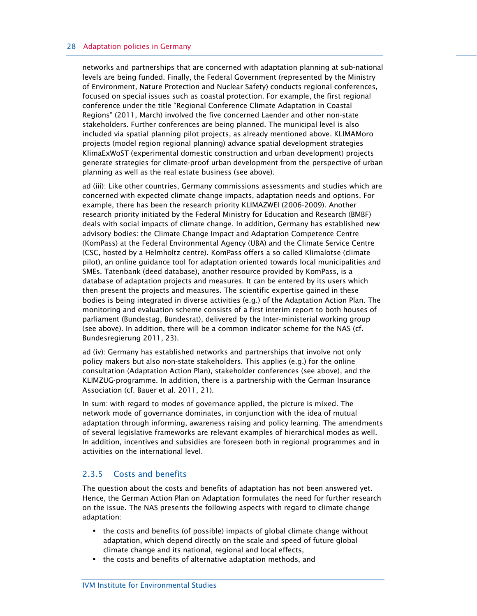#### 28 Adaptation policies in Germany

networks and partnerships that are concerned with adaptation planning at sub-national levels are being funded. Finally, the Federal Government (represented by the Ministry of Environment, Nature Protection and Nuclear Safety) conducts regional conferences, focused on special issues such as coastal protection. For example, the first regional conference under the title "Regional Conference Climate Adaptation in Coastal Regions" (2011, March) involved the five concerned Laender and other non-state stakeholders. Further conferences are being planned. The municipal level is also included via spatial planning pilot projects, as already mentioned above. KLIMAMoro projects (model region regional planning) advance spatial development strategies KlimaExWoST (experimental domestic construction and urban development) projects generate strategies for climate-proof urban development from the perspective of urban planning as well as the real estate business (see above).

ad (iii): Like other countries, Germany commissions assessments and studies which are concerned with expected climate change impacts, adaptation needs and options. For example, there has been the research priority KLIMAZWEI (2006-2009). Another research priority initiated by the Federal Ministry for Education and Research (BMBF) deals with social impacts of climate change. In addition, Germany has established new advisory bodies: the Climate Change Impact and Adaptation Competence Centre (KomPass) at the Federal Environmental Agency (UBA) and the Climate Service Centre (CSC, hosted by a Helmholtz centre). KomPass offers a so called Klimalotse (climate pilot), an online guidance tool for adaptation oriented towards local municipalities and SMEs. Tatenbank (deed database), another resource provided by KomPass, is a database of adaptation projects and measures. It can be entered by its users which then present the projects and measures. The scientific expertise gained in these bodies is being integrated in diverse activities (e.g.) of the Adaptation Action Plan. The monitoring and evaluation scheme consists of a first interim report to both houses of parliament (Bundestag, Bundesrat), delivered by the Inter-ministerial working group (see above). In addition, there will be a common indicator scheme for the NAS (cf. Bundesregierung 2011, 23).

ad (iv): Germany has established networks and partnerships that involve not only policy makers but also non-state stakeholders. This applies (e.g.) for the online consultation (Adaptation Action Plan), stakeholder conferences (see above), and the KLIMZUG-programme. In addition, there is a partnership with the German Insurance Association (cf. Bauer et al. 2011, 21).

In sum: with regard to modes of governance applied, the picture is mixed. The network mode of governance dominates, in conjunction with the idea of mutual adaptation through informing, awareness raising and policy learning. The amendments of several legislative frameworks are relevant examples of hierarchical modes as well. In addition, incentives and subsidies are foreseen both in regional programmes and in activities on the international level.

#### 2.3.5 Costs and benefits

The question about the costs and benefits of adaptation has not been answered yet. Hence, the German Action Plan on Adaptation formulates the need for further research on the issue. The NAS presents the following aspects with regard to climate change adaptation:

- **•** the costs and benefits (of possible) impacts of global climate change without adaptation, which depend directly on the scale and speed of future global climate change and its national, regional and local effects,
- **•** the costs and benefits of alternative adaptation methods, and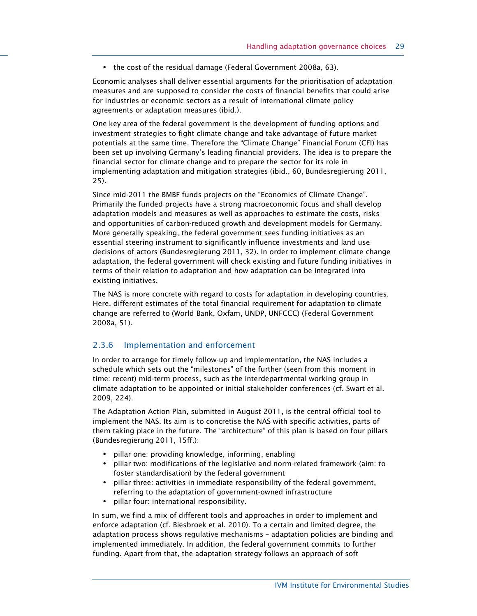**•** the cost of the residual damage (Federal Government 2008a, 63).

Economic analyses shall deliver essential arguments for the prioritisation of adaptation measures and are supposed to consider the costs of financial benefits that could arise for industries or economic sectors as a result of international climate policy agreements or adaptation measures (ibid.).

One key area of the federal government is the development of funding options and investment strategies to fight climate change and take advantage of future market potentials at the same time. Therefore the "Climate Change" Financial Forum (CFI) has been set up involving Germany's leading financial providers. The idea is to prepare the financial sector for climate change and to prepare the sector for its role in implementing adaptation and mitigation strategies (ibid., 60, Bundesregierung 2011, 25).

Since mid-2011 the BMBF funds projects on the "Economics of Climate Change". Primarily the funded projects have a strong macroeconomic focus and shall develop adaptation models and measures as well as approaches to estimate the costs, risks and opportunities of carbon-reduced growth and development models for Germany. More generally speaking, the federal government sees funding initiatives as an essential steering instrument to significantly influence investments and land use decisions of actors (Bundesregierung 2011, 32). In order to implement climate change adaptation, the federal government will check existing and future funding initiatives in terms of their relation to adaptation and how adaptation can be integrated into existing initiatives.

The NAS is more concrete with regard to costs for adaptation in developing countries. Here, different estimates of the total financial requirement for adaptation to climate change are referred to (World Bank, Oxfam, UNDP, UNFCCC) (Federal Government 2008a, 51).

#### 2.3.6 Implementation and enforcement

In order to arrange for timely follow-up and implementation, the NAS includes a schedule which sets out the "milestones" of the further (seen from this moment in time: recent) mid-term process, such as the interdepartmental working group in climate adaptation to be appointed or initial stakeholder conferences (cf. Swart et al. 2009, 224).

The Adaptation Action Plan, submitted in August 2011, is the central official tool to implement the NAS. Its aim is to concretise the NAS with specific activities, parts of them taking place in the future. The "architecture" of this plan is based on four pillars (Bundesregierung 2011, 15ff.):

- **•** pillar one: providing knowledge, informing, enabling
- **•** pillar two: modifications of the legislative and norm-related framework (aim: to foster standardisation) by the federal government
- **•** pillar three: activities in immediate responsibility of the federal government, referring to the adaptation of government-owned infrastructure
- **•** pillar four: international responsibility.

In sum, we find a mix of different tools and approaches in order to implement and enforce adaptation (cf. Biesbroek et al. 2010). To a certain and limited degree, the adaptation process shows regulative mechanisms – adaptation policies are binding and implemented immediately. In addition, the federal government commits to further funding. Apart from that, the adaptation strategy follows an approach of soft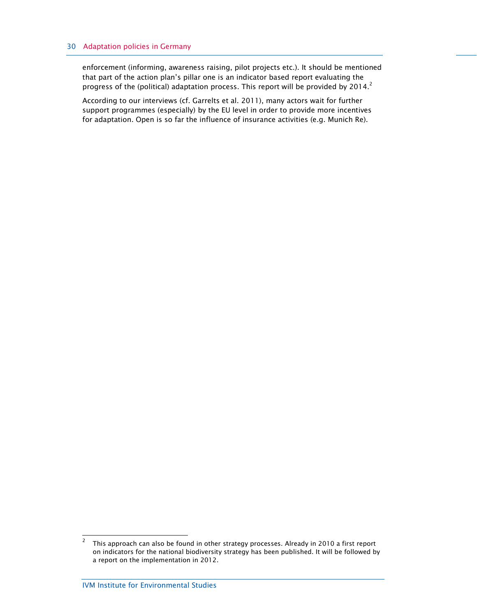enforcement (informing, awareness raising, pilot projects etc.). It should be mentioned that part of the action plan's pillar one is an indicator based report evaluating the progress of the (political) adaptation process. This report will be provided by 2014.<sup>2</sup>

According to our interviews (cf. Garrelts et al. 2011), many actors wait for further support programmes (especially) by the EU level in order to provide more incentives for adaptation. Open is so far the influence of insurance activities (e.g. Munich Re).

 $\overline{2}$  This approach can also be found in other strategy processes. Already in 2010 a first report on indicators for the national biodiversity strategy has been published. It will be followed by a report on the implementation in 2012.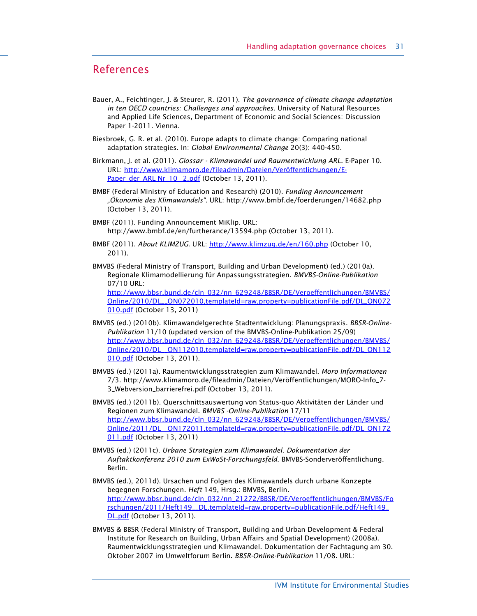## References

- Bauer, A., Feichtinger, J. & Steurer, R. (2011). The governance of climate change adaptation in ten OECD countries: Challenges and approaches. University of Natural Resources and Applied Life Sciences, Department of Economic and Social Sciences: Discussion Paper 1-2011. Vienna.
- Biesbroek, G. R. et al. (2010). Europe adapts to climate change: Comparing national adaptation strategies. In: Global Environmental Change 20(3): 440-450.
- Birkmann, J. et al. (2011). Glossar Klimawandel und Raumentwicklung ARL. E-Paper 10. URL: http://www.klimamoro.de/fileadmin/Dateien/Veröffentlichungen/E-Paper\_der\_ARL Nr\_10 \_2.pdf (October 13, 2011).
- BMBF (Federal Ministry of Education and Research) (2010). Funding Announcement "Ökonomie des Klimawandels". URL: http://www.bmbf.de/foerderungen/14682.php (October 13, 2011).
- BMBF (2011). Funding Announcement MiKlip. URL: http://www.bmbf.de/en/furtherance/13594.php (October 13, 2011).
- BMBF (2011). About KLIMZUG. URL: http://www.klimzug.de/en/160.php (October 10, 2011).
- BMVBS (Federal Ministry of Transport, Building and Urban Development) (ed.) (2010a). Regionale Klimamodellierung für Anpassungsstrategien. BMVBS-Online-Publikation 07/10 URL:

http://www.bbsr.bund.de/cln\_032/nn\_629248/BBSR/DE/Veroeffentlichungen/BMVBS/ Online/2010/DL\_\_ON072010,templateId=raw,property=publicationFile.pdf/DL\_ON072 010.pdf (October 13, 2011)

- BMVBS (ed.) (2010b). Klimawandelgerechte Stadtentwicklung: Planungspraxis. BBSR-Online-Publikation 11/10 (updated version of the BMVBS-Online-Publikation 25/09) http://www.bbsr.bund.de/cln\_032/nn\_629248/BBSR/DE/Veroeffentlichungen/BMVBS/ Online/2010/DL\_\_ON112010,templateId=raw,property=publicationFile.pdf/DL\_ON112 010.pdf (October 13, 2011).
- BMVBS (ed.) (2011a). Raumentwicklungsstrategien zum Klimawandel. Moro Informationen 7/3. http://www.klimamoro.de/fileadmin/Dateien/Veröffentlichungen/MORO-Info\_7- 3\_Webversion\_barrierefrei.pdf (October 13, 2011).
- BMVBS (ed.) (2011b). Querschnittsauswertung von Status-quo Aktivitäten der Länder und Regionen zum Klimawandel. BMVBS -Online-Publikation 17/11 http://www.bbsr.bund.de/cln\_032/nn\_629248/BBSR/DE/Veroeffentlichungen/BMVBS/ Online/2011/DL\_\_ON172011,templateId=raw,property=publicationFile.pdf/DL\_ON172 011.pdf (October 13, 2011)
- BMVBS (ed.) (2011c). Urbane Strategien zum Klimawandel. Dokumentation der Auftaktkonferenz 2010 zum ExWoSt-Forschungsfeld. BMVBS-Sonderveröffentlichung. Berlin.
- BMVBS (ed.), 2011d). Ursachen und Folgen des Klimawandels durch urbane Konzepte begegnen Forschungen. Heft 149, Hrsg.: BMVBS, Berlin. http://www.bbsr.bund.de/cln\_032/nn\_21272/BBSR/DE/Veroeffentlichungen/BMVBS/Fo rschungen/2011/Heft149\_\_DL,templateId=raw,property=publicationFile.pdf/Heft149\_ DL.pdf (October 13, 2011).
- BMVBS & BBSR (Federal Ministry of Transport, Building and Urban Development & Federal Institute for Research on Building, Urban Affairs and Spatial Development) (2008a). Raumentwicklungsstrategien und Klimawandel. Dokumentation der Fachtagung am 30. Oktober 2007 im Umweltforum Berlin. BBSR-Online-Publikation 11/08. URL: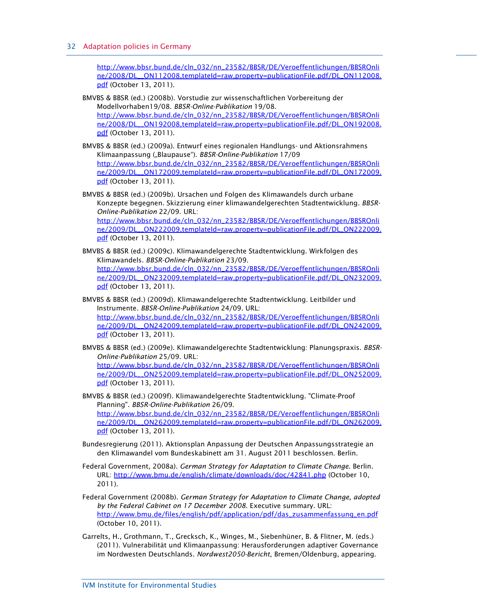http://www.bbsr.bund.de/cln\_032/nn\_23582/BBSR/DE/Veroeffentlichungen/BBSROnli ne/2008/DL\_\_ON112008,templateId=raw,property=publicationFile.pdf/DL\_ON112008. pdf (October 13, 2011).

- BMVBS & BBSR (ed.) (2008b). Vorstudie zur wissenschaftlichen Vorbereitung der Modellvorhaben19/08. BBSR-Online-Publikation 19/08. http://www.bbsr.bund.de/cln\_032/nn\_23582/BBSR/DE/Veroeffentlichungen/BBSROnli ne/2008/DL\_\_ON192008,templateId=raw,property=publicationFile.pdf/DL\_ON192008. pdf (October 13, 2011).
- BMVBS & BBSR (ed.) (2009a). Entwurf eines regionalen Handlungs- und Aktionsrahmens Klimaanpassung ("Blaupause"). BBSR-Online-Publikation 17/09 http://www.bbsr.bund.de/cln\_032/nn\_23582/BBSR/DE/Veroeffentlichungen/BBSROnli ne/2009/DL\_\_ON172009,templateId=raw,property=publicationFile.pdf/DL\_ON172009. **pdf** (October 13, 2011).
- BMVBS & BBSR (ed.) (2009b). Ursachen und Folgen des Klimawandels durch urbane Konzepte begegnen. Skizzierung einer klimawandelgerechten Stadtentwicklung. BBSR-Online-Publikation 22/09. URL: http://www.bbsr.bund.de/cln\_032/nn\_23582/BBSR/DE/Veroeffentlichungen/BBSROnli ne/2009/DL\_\_ON222009,templateId=raw,property=publicationFile.pdf/DL\_ON222009. pdf (October 13, 2011).
- BMVBS & BBSR (ed.) (2009c). Klimawandelgerechte Stadtentwicklung. Wirkfolgen des Klimawandels. BBSR-Online-Publikation 23/09. http://www.bbsr.bund.de/cln\_032/nn\_23582/BBSR/DE/Veroeffentlichungen/BBSROnli ne/2009/DL\_\_ON232009,templateId=raw,property=publicationFile.pdf/DL\_ON232009. pdf (October 13, 2011).
- BMVBS & BBSR (ed.) (2009d). Klimawandelgerechte Stadtentwicklung. Leitbilder und Instrumente. BBSR-Online-Publikation 24/09. URL: http://www.bbsr.bund.de/cln\_032/nn\_23582/BBSR/DE/Veroeffentlichungen/BBSROnli ne/2009/DL\_\_ON242009,templateId=raw,property=publicationFile.pdf/DL\_ON242009. pdf (October 13, 2011).
- BMVBS & BBSR (ed.) (2009e). Klimawandelgerechte Stadtentwicklung: Planungspraxis. BBSR-Online-Publikation 25/09. URL: http://www.bbsr.bund.de/cln\_032/nn\_23582/BBSR/DE/Veroeffentlichungen/BBSROnli ne/2009/DL\_\_ON252009,templateId=raw,property=publicationFile.pdf/DL\_ON252009. **pdf** (October 13, 2011).
- BMVBS & BBSR (ed.) (2009f). Klimawandelgerechte Stadtentwicklung. "Climate-Proof Planning". BBSR-Online-Publikation 26/09. http://www.bbsr.bund.de/cln\_032/nn\_23582/BBSR/DE/Veroeffentlichungen/BBSROnli ne/2009/DL\_\_ON262009,templateId=raw,property=publicationFile.pdf/DL\_ON262009. pdf (October 13, 2011).
- Bundesregierung (2011). Aktionsplan Anpassung der Deutschen Anpassungsstrategie an den Klimawandel vom Bundeskabinett am 31. August 2011 beschlossen. Berlin.
- Federal Government, 2008a). German Strategy for Adaptation to Climate Change. Berlin. URL: http://www.bmu.de/english/climate/downloads/doc/42841.php (October 10, 2011).
- Federal Government (2008b). German Strategy for Adaptation to Climate Change, adopted by the Federal Cabinet on 17 December 2008. Executive summary. URL: http://www.bmu.de/files/english/pdf/application/pdf/das\_zusammenfassung\_en.pdf (October 10, 2011).
- Garrelts, H., Grothmann, T., Grecksch, K., Winges, M., Siebenhüner, B. & Flitner, M. (eds.) (2011). Vulnerabilität und Klimaanpassung: Herausforderungen adaptiver Governance im Nordwesten Deutschlands. Nordwest2050-Bericht, Bremen/Oldenburg, appearing.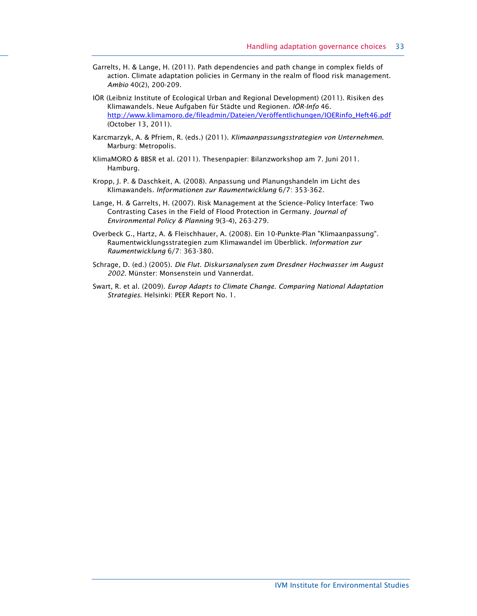- Garrelts, H. & Lange, H. (2011). Path dependencies and path change in complex fields of action. Climate adaptation policies in Germany in the realm of flood risk management. Ambio 40(2), 200-209.
- IÖR (Leibniz Institute of Ecological Urban and Regional Development) (2011). Risiken des Klimawandels. Neue Aufgaben für Städte und Regionen. IÖR-Info 46. http://www.klimamoro.de/fileadmin/Dateien/Veröffentlichungen/IOERinfo\_Heft46.pdf (October 13, 2011).
- Karcmarzyk, A. & Pfriem, R. (eds.) (2011). Klimaanpassungsstrategien von Unternehmen. Marburg: Metropolis.
- KlimaMORO & BBSR et al. (2011). Thesenpapier: Bilanzworkshop am 7. Juni 2011. Hamburg.
- Kropp, J. P. & Daschkeit, A. (2008). Anpassung und Planungshandeln im Licht des Klimawandels. Informationen zur Raumentwicklung 6/7: 353-362.
- Lange, H. & Garrelts, H. (2007). Risk Management at the Science–Policy Interface: Two Contrasting Cases in the Field of Flood Protection in Germany. Journal of Environmental Policy & Planning 9(3-4), 263-279.
- Overbeck G., Hartz, A. & Fleischhauer, A. (2008). Ein 10-Punkte-Plan "Klimaanpassung". Raumentwicklungsstrategien zum Klimawandel im Überblick. Information zur Raumentwicklung 6/7: 363-380.
- Schrage, D. (ed.) (2005). Die Flut. Diskursanalysen zum Dresdner Hochwasser im August 2002. Münster: Monsenstein und Vannerdat.
- Swart, R. et al. (2009). Europ Adapts to Climate Change. Comparing National Adaptation Strategies. Helsinki: PEER Report No. 1.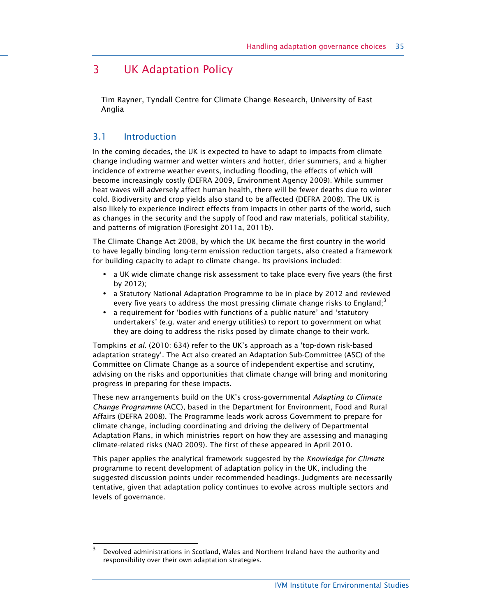## 3 UK Adaptation Policy

Tim Rayner, Tyndall Centre for Climate Change Research, University of East Anglia

## 3.1 Introduction

1

In the coming decades, the UK is expected to have to adapt to impacts from climate change including warmer and wetter winters and hotter, drier summers, and a higher incidence of extreme weather events, including flooding, the effects of which will become increasingly costly (DEFRA 2009, Environment Agency 2009). While summer heat waves will adversely affect human health, there will be fewer deaths due to winter cold. Biodiversity and crop yields also stand to be affected (DEFRA 2008). The UK is also likely to experience indirect effects from impacts in other parts of the world, such as changes in the security and the supply of food and raw materials, political stability, and patterns of migration (Foresight 2011a, 2011b).

The Climate Change Act 2008, by which the UK became the first country in the world to have legally binding long-term emission reduction targets, also created a framework for building capacity to adapt to climate change. Its provisions included:

- **•** a UK wide climate change risk assessment to take place every five years (the first by 2012);
- **•** a Statutory National Adaptation Programme to be in place by 2012 and reviewed every five years to address the most pressing climate change risks to England;<sup>3</sup>
- **•** a requirement for 'bodies with functions of a public nature' and 'statutory undertakers' (e.g. water and energy utilities) to report to government on what they are doing to address the risks posed by climate change to their work.

Tompkins et al. (2010: 634) refer to the UK's approach as a 'top-down risk-based adaptation strategy'. The Act also created an Adaptation Sub-Committee (ASC) of the Committee on Climate Change as a source of independent expertise and scrutiny, advising on the risks and opportunities that climate change will bring and monitoring progress in preparing for these impacts.

These new arrangements build on the UK's cross-governmental Adapting to Climate Change Programme (ACC), based in the Department for Environment, Food and Rural Affairs (DEFRA 2008). The Programme leads work across Government to prepare for climate change, including coordinating and driving the delivery of Departmental Adaptation Plans, in which ministries report on how they are assessing and managing climate-related risks (NAO 2009). The first of these appeared in April 2010.

This paper applies the analytical framework suggested by the Knowledge for Climate programme to recent development of adaptation policy in the UK, including the suggested discussion points under recommended headings. Judgments are necessarily tentative, given that adaptation policy continues to evolve across multiple sectors and levels of governance.

<sup>3</sup> Devolved administrations in Scotland, Wales and Northern Ireland have the authority and responsibility over their own adaptation strategies.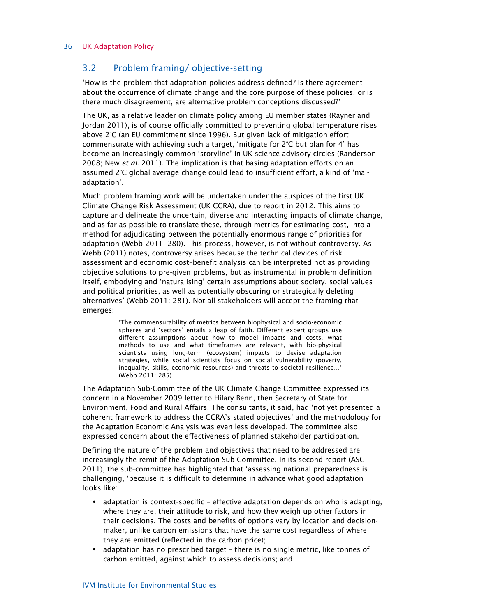#### 3.2 Problem framing/ objective-setting

'How is the problem that adaptation policies address defined? Is there agreement about the occurrence of climate change and the core purpose of these policies, or is there much disagreement, are alternative problem conceptions discussed?'

The UK, as a relative leader on climate policy among EU member states (Rayner and Jordan 2011), is of course officially committed to preventing global temperature rises above 2°C (an EU commitment since 1996). But given lack of mitigation effort commensurate with achieving such a target, 'mitigate for 2°C but plan for 4' has become an increasingly common 'storyline' in UK science advisory circles (Randerson 2008; New et al. 2011). The implication is that basing adaptation efforts on an assumed 2°C global average change could lead to insufficient effort, a kind of 'maladaptation'.

Much problem framing work will be undertaken under the auspices of the first UK Climate Change Risk Assessment (UK CCRA), due to report in 2012. This aims to capture and delineate the uncertain, diverse and interacting impacts of climate change, and as far as possible to translate these, through metrics for estimating cost, into a method for adjudicating between the potentially enormous range of priorities for adaptation (Webb 2011: 280). This process, however, is not without controversy. As Webb (2011) notes, controversy arises because the technical devices of risk assessment and economic cost–benefit analysis can be interpreted not as providing objective solutions to pre-given problems, but as instrumental in problem definition itself, embodying and 'naturalising' certain assumptions about society, social values and political priorities, as well as potentially obscuring or strategically deleting alternatives' (Webb 2011: 281). Not all stakeholders will accept the framing that emerges:

> 'The commensurability of metrics between biophysical and socio-economic spheres and 'sectors' entails a leap of faith. Different expert groups use different assumptions about how to model impacts and costs, what methods to use and what timeframes are relevant, with bio-physical scientists using long-term (ecosystem) impacts to devise adaptation strategies, while social scientists focus on social vulnerability (poverty, inequality, skills, economic resources) and threats to societal resilience…' (Webb 2011: 285).

The Adaptation Sub-Committee of the UK Climate Change Committee expressed its concern in a November 2009 letter to Hilary Benn, then Secretary of State for Environment, Food and Rural Affairs. The consultants, it said, had 'not yet presented a coherent framework to address the CCRA's stated objectives' and the methodology for the Adaptation Economic Analysis was even less developed. The committee also expressed concern about the effectiveness of planned stakeholder participation.

Defining the nature of the problem and objectives that need to be addressed are increasingly the remit of the Adaptation Sub-Committee. In its second report (ASC 2011), the sub-committee has highlighted that 'assessing national preparedness is challenging, 'because it is difficult to determine in advance what good adaptation looks like:

- **•** adaptation is context-specific effective adaptation depends on who is adapting, where they are, their attitude to risk, and how they weigh up other factors in their decisions. The costs and benefits of options vary by location and decisionmaker, unlike carbon emissions that have the same cost regardless of where they are emitted (reflected in the carbon price);
- **•** adaptation has no prescribed target there is no single metric, like tonnes of carbon emitted, against which to assess decisions; and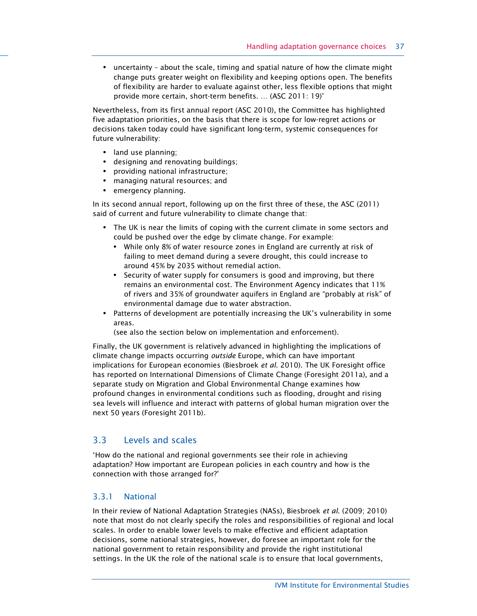**•** uncertainty – about the scale, timing and spatial nature of how the climate might change puts greater weight on flexibility and keeping options open. The benefits of flexibility are harder to evaluate against other, less flexible options that might provide more certain, short-term benefits. … (ASC 2011: 19)'

Nevertheless, from its first annual report (ASC 2010), the Committee has highlighted five adaptation priorities, on the basis that there is scope for low-regret actions or decisions taken today could have significant long-term, systemic consequences for future vulnerability:

- **•** land use planning;
- **•** designing and renovating buildings;
- **•** providing national infrastructure;
- **•** managing natural resources; and
- **•** emergency planning.

In its second annual report, following up on the first three of these, the ASC (2011) said of current and future vulnerability to climate change that:

- **•** The UK is near the limits of coping with the current climate in some sectors and could be pushed over the edge by climate change. For example:
	- **•** While only 8% of water resource zones in England are currently at risk of failing to meet demand during a severe drought, this could increase to around 45% by 2035 without remedial action.
	- **•** Security of water supply for consumers is good and improving, but there remains an environmental cost. The Environment Agency indicates that 11% of rivers and 35% of groundwater aquifers in England are "probably at risk" of environmental damage due to water abstraction.
- **•** Patterns of development are potentially increasing the UK's vulnerability in some areas.

(see also the section below on implementation and enforcement).

Finally, the UK government is relatively advanced in highlighting the implications of climate change impacts occurring outside Europe, which can have important implications for European economies (Biesbroek et al. 2010). The UK Foresight office has reported on International Dimensions of Climate Change (Foresight 2011a), and a separate study on Migration and Global Environmental Change examines how profound changes in environmental conditions such as flooding, drought and rising sea levels will influence and interact with patterns of global human migration over the next 50 years (Foresight 2011b).

### 3.3 Levels and scales

'How do the national and regional governments see their role in achieving adaptation? How important are European policies in each country and how is the connection with those arranged for?'

### 3.3.1 National

In their review of National Adaptation Strategies (NASs), Biesbroek et al. (2009; 2010) note that most do not clearly specify the roles and responsibilities of regional and local scales. In order to enable lower levels to make effective and efficient adaptation decisions, some national strategies, however, do foresee an important role for the national government to retain responsibility and provide the right institutional settings. In the UK the role of the national scale is to ensure that local governments,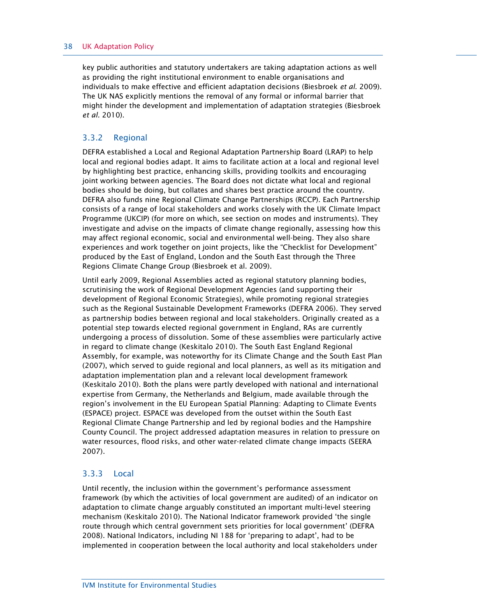#### 38 UK Adaptation Policy

key public authorities and statutory undertakers are taking adaptation actions as well as providing the right institutional environment to enable organisations and individuals to make effective and efficient adaptation decisions (Biesbroek et al. 2009). The UK NAS explicitly mentions the removal of any formal or informal barrier that might hinder the development and implementation of adaptation strategies (Biesbroek et al. 2010).

### 3.3.2 Regional

DEFRA established a Local and Regional Adaptation Partnership Board (LRAP) to help local and regional bodies adapt. It aims to facilitate action at a local and regional level by highlighting best practice, enhancing skills, providing toolkits and encouraging joint working between agencies. The Board does not dictate what local and regional bodies should be doing, but collates and shares best practice around the country. DEFRA also funds nine Regional Climate Change Partnerships (RCCP). Each Partnership consists of a range of local stakeholders and works closely with the UK Climate Impact Programme (UKCIP) (for more on which, see section on modes and instruments). They investigate and advise on the impacts of climate change regionally, assessing how this may affect regional economic, social and environmental well-being. They also share experiences and work together on joint projects, like the "Checklist for Development" produced by the East of England, London and the South East through the Three Regions Climate Change Group (Biesbroek et al. 2009).

Until early 2009, Regional Assemblies acted as regional statutory planning bodies, scrutinising the work of Regional Development Agencies (and supporting their development of Regional Economic Strategies), while promoting regional strategies such as the Regional Sustainable Development Frameworks (DEFRA 2006). They served as partnership bodies between regional and local stakeholders. Originally created as a potential step towards elected regional government in England, RAs are currently undergoing a process of dissolution. Some of these assemblies were particularly active in regard to climate change (Keskitalo 2010). The South East England Regional Assembly, for example, was noteworthy for its Climate Change and the South East Plan (2007), which served to guide regional and local planners, as well as its mitigation and adaptation implementation plan and a relevant local development framework (Keskitalo 2010). Both the plans were partly developed with national and international expertise from Germany, the Netherlands and Belgium, made available through the region's involvement in the EU European Spatial Planning: Adapting to Climate Events (ESPACE) project. ESPACE was developed from the outset within the South East Regional Climate Change Partnership and led by regional bodies and the Hampshire County Council. The project addressed adaptation measures in relation to pressure on water resources, flood risks, and other water-related climate change impacts (SEERA 2007).

#### 3.3.3 Local

Until recently, the inclusion within the government's performance assessment framework (by which the activities of local government are audited) of an indicator on adaptation to climate change arguably constituted an important multi-level steering mechanism (Keskitalo 2010). The National Indicator framework provided 'the single route through which central government sets priorities for local government' (DEFRA 2008). National Indicators, including NI 188 for 'preparing to adapt', had to be implemented in cooperation between the local authority and local stakeholders under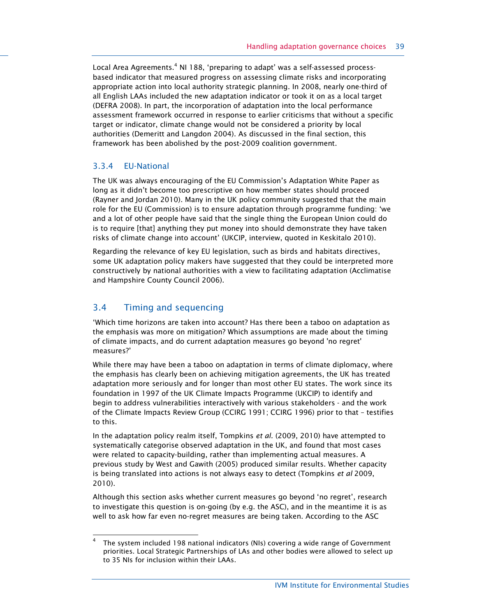Local Area Agreements. $^4$  NI 188, 'preparing to adapt' was a self-assessed processbased indicator that measured progress on assessing climate risks and incorporating appropriate action into local authority strategic planning. In 2008, nearly one-third of all English LAAs included the new adaptation indicator or took it on as a local target (DEFRA 2008). In part, the incorporation of adaptation into the local performance assessment framework occurred in response to earlier criticisms that without a specific target or indicator, climate change would not be considered a priority by local authorities (Demeritt and Langdon 2004). As discussed in the final section, this framework has been abolished by the post-2009 coalition government.

#### 3.3.4 EU-National

The UK was always encouraging of the EU Commission's Adaptation White Paper as long as it didn't become too prescriptive on how member states should proceed (Rayner and Jordan 2010). Many in the UK policy community suggested that the main role for the EU (Commission) is to ensure adaptation through programme funding: 'we and a lot of other people have said that the single thing the European Union could do is to require [that] anything they put money into should demonstrate they have taken risks of climate change into account' (UKCIP, interview, quoted in Keskitalo 2010).

Regarding the relevance of key EU legislation, such as birds and habitats directives, some UK adaptation policy makers have suggested that they could be interpreted more constructively by national authorities with a view to facilitating adaptation (Acclimatise and Hampshire County Council 2006).

## 3.4 Timing and sequencing

-

'Which time horizons are taken into account? Has there been a taboo on adaptation as the emphasis was more on mitigation? Which assumptions are made about the timing of climate impacts, and do current adaptation measures go beyond 'no regret' measures?'

While there may have been a taboo on adaptation in terms of climate diplomacy, where the emphasis has clearly been on achieving mitigation agreements, the UK has treated adaptation more seriously and for longer than most other EU states. The work since its foundation in 1997 of the UK Climate Impacts Programme (UKCIP) to identify and begin to address vulnerabilities interactively with various stakeholders - and the work of the Climate Impacts Review Group (CCIRG 1991; CCIRG 1996) prior to that – testifies to this.

In the adaptation policy realm itself, Tompkins et al. (2009, 2010) have attempted to systematically categorise observed adaptation in the UK, and found that most cases were related to capacity-building, rather than implementing actual measures. A previous study by West and Gawith (2005) produced similar results. Whether capacity is being translated into actions is not always easy to detect (Tompkins et al 2009, 2010).

Although this section asks whether current measures go beyond 'no regret', research to investigate this question is on-going (by e.g. the ASC), and in the meantime it is as well to ask how far even no-regret measures are being taken. According to the ASC

<sup>4</sup> The system included 198 national indicators (NIs) covering a wide range of Government priorities. Local Strategic Partnerships of LAs and other bodies were allowed to select up to 35 NIs for inclusion within their LAAs.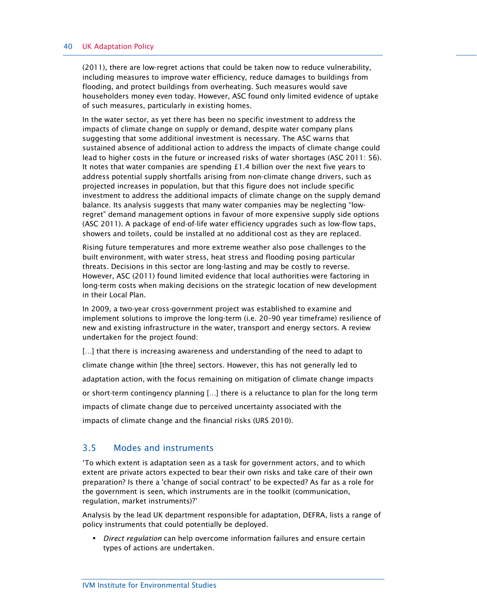#### 40 UK Adaptation Policy

(2011), there are low-regret actions that could be taken now to reduce vulnerability, including measures to improve water efficiency, reduce damages to buildings from flooding, and protect buildings from overheating. Such measures would save householders money even today. However, ASC found only limited evidence of uptake of such measures, particularly in existing homes.

In the water sector, as yet there has been no specific investment to address the impacts of climate change on supply or demand, despite water company plans suggesting that some additional investment is necessary. The ASC warns that sustained absence of additional action to address the impacts of climate change could lead to higher costs in the future or increased risks of water shortages (ASC 2011: 56). It notes that water companies are spending £1.4 billion over the next five years to address potential supply shortfalls arising from non-climate change drivers, such as projected increases in population, but that this figure does not include specific investment to address the additional impacts of climate change on the supply demand balance. Its analysis suggests that many water companies may be neglecting "lowregret" demand management options in favour of more expensive supply side options (ASC 2011). A package of end-of-life water efficiency upgrades such as low-flow taps, showers and toilets, could be installed at no additional cost as they are replaced.

Rising future temperatures and more extreme weather also pose challenges to the built environment, with water stress, heat stress and flooding posing particular threats. Decisions in this sector are long-lasting and may be costly to reverse. However, ASC (2011) found limited evidence that local authorities were factoring in long-term costs when making decisions on the strategic location of new development in their Local Plan.

In 2009, a two-year cross-government project was established to examine and implement solutions to improve the long-term (i.e. 20–90 year timeframe) resilience of new and existing infrastructure in the water, transport and energy sectors. A review undertaken for the project found:

[...] that there is increasing awareness and understanding of the need to adapt to climate change within [the three] sectors. However, this has not generally led to adaptation action, with the focus remaining on mitigation of climate change impacts or short-term contingency planning […] there is a reluctance to plan for the long term impacts of climate change due to perceived uncertainty associated with the impacts of climate change and the financial risks (URS 2010).

#### 3.5 Modes and instruments

'To which extent is adaptation seen as a task for government actors, and to which extent are private actors expected to bear their own risks and take care of their own preparation? Is there a 'change of social contract' to be expected? As far as a role for the government is seen, which instruments are in the toolkit (communication, regulation, market instruments)?'

Analysis by the lead UK department responsible for adaptation, DEFRA, lists a range of policy instruments that could potentially be deployed.

**•** Direct regulation can help overcome information failures and ensure certain types of actions are undertaken.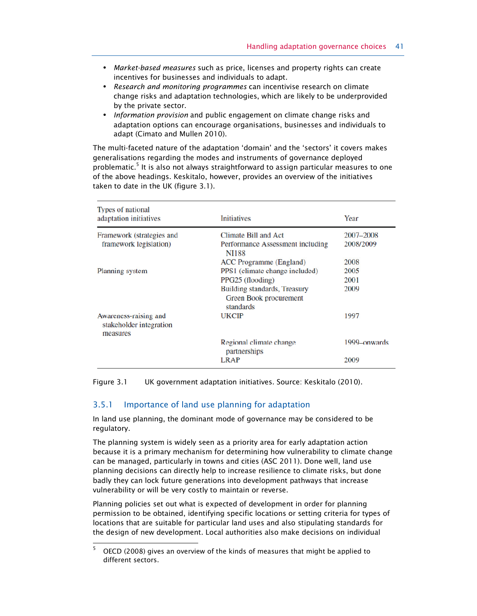- **•** Market-based measures such as price, licenses and property rights can create incentives for businesses and individuals to adapt.
- **•** Research and monitoring programmes can incentivise research on climate change risks and adaptation technologies, which are likely to be underprovided by the private sector.
- **•** Information provision and public engagement on climate change risks and adaptation options can encourage organisations, businesses and individuals to adapt (Cimato and Mullen 2010).

The multi-faceted nature of the adaptation 'domain' and the 'sectors' it covers makes generalisations regarding the modes and instruments of governance deployed problematic.<sup>5</sup> It is also not always straightforward to assign particular measures to one of the above headings. Keskitalo, however, provides an overview of the initiatives taken to date in the UK (figure 3.1).

| <b>Types of national</b><br>adaptation initiatives           | <b>Initiatives</b>                                                  | Year         |
|--------------------------------------------------------------|---------------------------------------------------------------------|--------------|
| Framework (strategies and                                    | <b>Climate Bill and Act</b>                                         | 2007–2008    |
| framework legislation)                                       | Performance Assessment including<br><b>NI188</b>                    | 2008/2009    |
|                                                              | ACC Programme (England)                                             | 2008         |
| Planning system                                              | PPS1 (climate change included)                                      | 2005         |
|                                                              | PPG25 (flooding)                                                    | 2001         |
|                                                              | Building standards, Treasury<br>Green Book procurement<br>standards | 2009         |
| Awareness-raising and<br>stakeholder integration<br>measures | <b>UKCIP</b>                                                        | 1997         |
|                                                              | Regional climate change<br>partnerships                             | 1999-onwards |
|                                                              | <b>LRAP</b>                                                         | 2009         |

Figure 3.1 UK government adaptation initiatives. Source: Keskitalo (2010).

#### 3.5.1 Importance of land use planning for adaptation

In land use planning, the dominant mode of governance may be considered to be regulatory.

The planning system is widely seen as a priority area for early adaptation action because it is a primary mechanism for determining how vulnerability to climate change can be managed, particularly in towns and cities (ASC 2011). Done well, land use planning decisions can directly help to increase resilience to climate risks, but done badly they can lock future generations into development pathways that increase vulnerability or will be very costly to maintain or reverse.

Planning policies set out what is expected of development in order for planning permission to be obtained, identifying specific locations or setting criteria for types of locations that are suitable for particular land uses and also stipulating standards for the design of new development. Local authorities also make decisions on individual

 5 OECD (2008) gives an overview of the kinds of measures that might be applied to different sectors.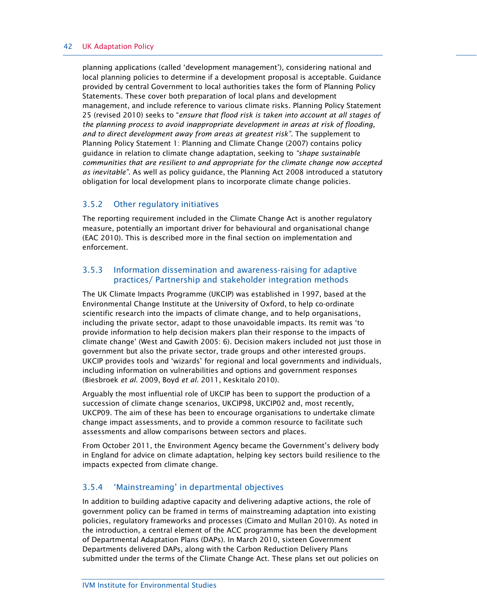#### 42 UK Adaptation Policy

planning applications (called 'development management'), considering national and local planning policies to determine if a development proposal is acceptable. Guidance provided by central Government to local authorities takes the form of Planning Policy Statements. These cover both preparation of local plans and development management, and include reference to various climate risks. Planning Policy Statement 25 (revised 2010) seeks to "ensure that flood risk is taken into account at all stages of the planning process to avoid inappropriate development in areas at risk of flooding, and to direct development away from areas at greatest risk". The supplement to Planning Policy Statement 1: Planning and Climate Change (2007) contains policy guidance in relation to climate change adaptation, seeking to "shape sustainable communities that are resilient to and appropriate for the climate change now accepted as inevitable". As well as policy guidance, the Planning Act 2008 introduced a statutory obligation for local development plans to incorporate climate change policies.

#### 3.5.2 Other regulatory initiatives

The reporting requirement included in the Climate Change Act is another regulatory measure, potentially an important driver for behavioural and organisational change (EAC 2010). This is described more in the final section on implementation and enforcement.

#### 3.5.3 Information dissemination and awareness-raising for adaptive practices/ Partnership and stakeholder integration methods

The UK Climate Impacts Programme (UKCIP) was established in 1997, based at the Environmental Change Institute at the University of Oxford, to help co-ordinate scientific research into the impacts of climate change, and to help organisations, including the private sector, adapt to those unavoidable impacts. Its remit was 'to provide information to help decision makers plan their response to the impacts of climate change' (West and Gawith 2005: 6). Decision makers included not just those in government but also the private sector, trade groups and other interested groups. UKCIP provides tools and 'wizards' for regional and local governments and individuals, including information on vulnerabilities and options and government responses (Biesbroek et al. 2009, Boyd et al. 2011, Keskitalo 2010).

Arguably the most influential role of UKCIP has been to support the production of a succession of climate change scenarios, UKCIP98, UKCIP02 and, most recently, UKCP09. The aim of these has been to encourage organisations to undertake climate change impact assessments, and to provide a common resource to facilitate such assessments and allow comparisons between sectors and places.

From October 2011, the Environment Agency became the Government's delivery body in England for advice on climate adaptation, helping key sectors build resilience to the impacts expected from climate change.

### 3.5.4 'Mainstreaming' in departmental objectives

In addition to building adaptive capacity and delivering adaptive actions, the role of government policy can be framed in terms of mainstreaming adaptation into existing policies, regulatory frameworks and processes (Cimato and Mullan 2010). As noted in the introduction, a central element of the ACC programme has been the development of Departmental Adaptation Plans (DAPs). In March 2010, sixteen Government Departments delivered DAPs, along with the Carbon Reduction Delivery Plans submitted under the terms of the Climate Change Act. These plans set out policies on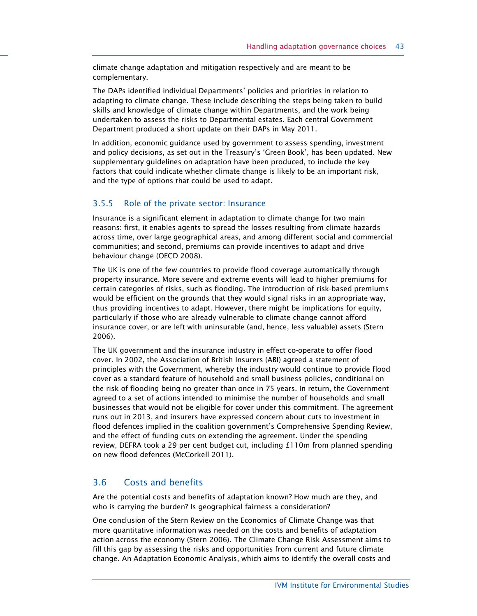climate change adaptation and mitigation respectively and are meant to be complementary.

The DAPs identified individual Departments' policies and priorities in relation to adapting to climate change. These include describing the steps being taken to build skills and knowledge of climate change within Departments, and the work being undertaken to assess the risks to Departmental estates. Each central Government Department produced a short update on their DAPs in May 2011.

In addition, economic guidance used by government to assess spending, investment and policy decisions, as set out in the Treasury's 'Green Book', has been updated. New supplementary guidelines on adaptation have been produced, to include the key factors that could indicate whether climate change is likely to be an important risk, and the type of options that could be used to adapt.

#### 3.5.5 Role of the private sector: Insurance

Insurance is a significant element in adaptation to climate change for two main reasons: first, it enables agents to spread the losses resulting from climate hazards across time, over large geographical areas, and among different social and commercial communities; and second, premiums can provide incentives to adapt and drive behaviour change (OECD 2008).

The UK is one of the few countries to provide flood coverage automatically through property insurance. More severe and extreme events will lead to higher premiums for certain categories of risks, such as flooding. The introduction of risk-based premiums would be efficient on the grounds that they would signal risks in an appropriate way, thus providing incentives to adapt. However, there might be implications for equity, particularly if those who are already vulnerable to climate change cannot afford insurance cover, or are left with uninsurable (and, hence, less valuable) assets (Stern 2006).

The UK government and the insurance industry in effect co-operate to offer flood cover. In 2002, the Association of British Insurers (ABI) agreed a statement of principles with the Government, whereby the industry would continue to provide flood cover as a standard feature of household and small business policies, conditional on the risk of flooding being no greater than once in 75 years. In return, the Government agreed to a set of actions intended to minimise the number of households and small businesses that would not be eligible for cover under this commitment. The agreement runs out in 2013, and insurers have expressed concern about cuts to investment in flood defences implied in the coalition government's Comprehensive Spending Review, and the effect of funding cuts on extending the agreement. Under the spending review, DEFRA took a 29 per cent budget cut, including £110m from planned spending on new flood defences (McCorkell 2011).

### 3.6 Costs and benefits

Are the potential costs and benefits of adaptation known? How much are they, and who is carrying the burden? Is geographical fairness a consideration?

One conclusion of the Stern Review on the Economics of Climate Change was that more quantitative information was needed on the costs and benefits of adaptation action across the economy (Stern 2006). The Climate Change Risk Assessment aims to fill this gap by assessing the risks and opportunities from current and future climate change. An Adaptation Economic Analysis, which aims to identify the overall costs and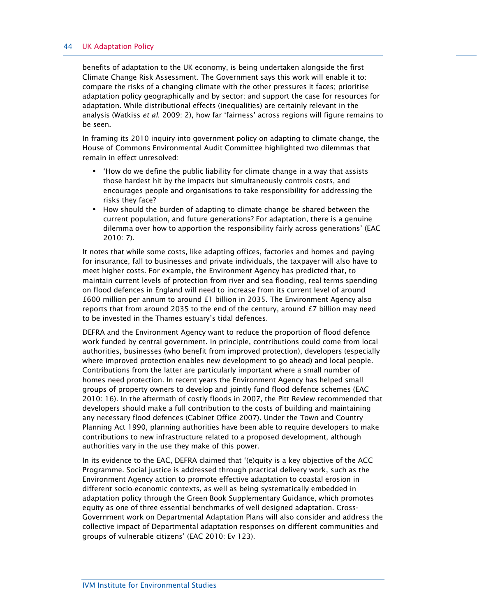#### 44 UK Adaptation Policy

benefits of adaptation to the UK economy, is being undertaken alongside the first Climate Change Risk Assessment. The Government says this work will enable it to: compare the risks of a changing climate with the other pressures it faces; prioritise adaptation policy geographically and by sector; and support the case for resources for adaptation. While distributional effects (inequalities) are certainly relevant in the analysis (Watkiss et al. 2009: 2), how far 'fairness' across regions will figure remains to be seen.

In framing its 2010 inquiry into government policy on adapting to climate change, the House of Commons Environmental Audit Committee highlighted two dilemmas that remain in effect unresolved:

- **•** 'How do we define the public liability for climate change in a way that assists those hardest hit by the impacts but simultaneously controls costs, and encourages people and organisations to take responsibility for addressing the risks they face?
- **•** How should the burden of adapting to climate change be shared between the current population, and future generations? For adaptation, there is a genuine dilemma over how to apportion the responsibility fairly across generations' (EAC 2010: 7).

It notes that while some costs, like adapting offices, factories and homes and paying for insurance, fall to businesses and private individuals, the taxpayer will also have to meet higher costs. For example, the Environment Agency has predicted that, to maintain current levels of protection from river and sea flooding, real terms spending on flood defences in England will need to increase from its current level of around £600 million per annum to around £1 billion in 2035. The Environment Agency also reports that from around 2035 to the end of the century, around  $E7$  billion may need to be invested in the Thames estuary's tidal defences.

DEFRA and the Environment Agency want to reduce the proportion of flood defence work funded by central government. In principle, contributions could come from local authorities, businesses (who benefit from improved protection), developers (especially where improved protection enables new development to go ahead) and local people. Contributions from the latter are particularly important where a small number of homes need protection. In recent years the Environment Agency has helped small groups of property owners to develop and jointly fund flood defence schemes (EAC 2010: 16). In the aftermath of costly floods in 2007, the Pitt Review recommended that developers should make a full contribution to the costs of building and maintaining any necessary flood defences (Cabinet Office 2007). Under the Town and Country Planning Act 1990, planning authorities have been able to require developers to make contributions to new infrastructure related to a proposed development, although authorities vary in the use they make of this power.

In its evidence to the EAC, DEFRA claimed that '(e)quity is a key objective of the ACC Programme. Social justice is addressed through practical delivery work, such as the Environment Agency action to promote effective adaptation to coastal erosion in different socio-economic contexts, as well as being systematically embedded in adaptation policy through the Green Book Supplementary Guidance, which promotes equity as one of three essential benchmarks of well designed adaptation. Cross-Government work on Departmental Adaptation Plans will also consider and address the collective impact of Departmental adaptation responses on different communities and groups of vulnerable citizens' (EAC 2010: Ev 123).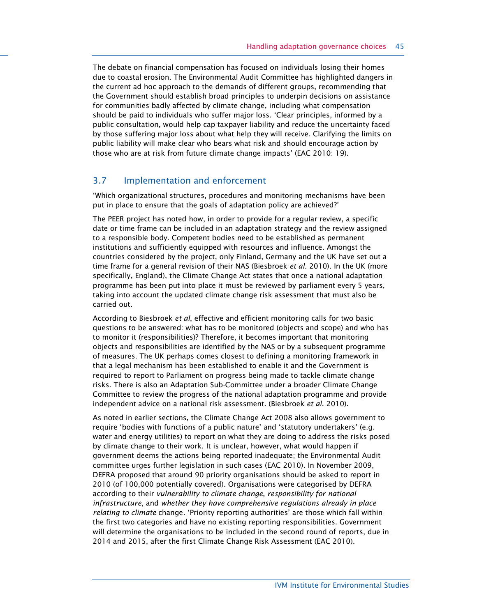The debate on financial compensation has focused on individuals losing their homes due to coastal erosion. The Environmental Audit Committee has highlighted dangers in the current ad hoc approach to the demands of different groups, recommending that the Government should establish broad principles to underpin decisions on assistance for communities badly affected by climate change, including what compensation should be paid to individuals who suffer major loss. 'Clear principles, informed by a public consultation, would help cap taxpayer liability and reduce the uncertainty faced by those suffering major loss about what help they will receive. Clarifying the limits on public liability will make clear who bears what risk and should encourage action by those who are at risk from future climate change impacts' (EAC 2010: 19).

## 3.7 Implementation and enforcement

'Which organizational structures, procedures and monitoring mechanisms have been put in place to ensure that the goals of adaptation policy are achieved?'

The PEER project has noted how, in order to provide for a regular review, a specific date or time frame can be included in an adaptation strategy and the review assigned to a responsible body. Competent bodies need to be established as permanent institutions and sufficiently equipped with resources and influence. Amongst the countries considered by the project, only Finland, Germany and the UK have set out a time frame for a general revision of their NAS (Biesbroek et al. 2010). In the UK (more specifically, England), the Climate Change Act states that once a national adaptation programme has been put into place it must be reviewed by parliament every 5 years, taking into account the updated climate change risk assessment that must also be carried out.

According to Biesbroek et al, effective and efficient monitoring calls for two basic questions to be answered: what has to be monitored (objects and scope) and who has to monitor it (responsibilities)? Therefore, it becomes important that monitoring objects and responsibilities are identified by the NAS or by a subsequent programme of measures. The UK perhaps comes closest to defining a monitoring framework in that a legal mechanism has been established to enable it and the Government is required to report to Parliament on progress being made to tackle climate change risks. There is also an Adaptation Sub-Committee under a broader Climate Change Committee to review the progress of the national adaptation programme and provide independent advice on a national risk assessment. (Biesbroek et al. 2010).

As noted in earlier sections, the Climate Change Act 2008 also allows government to require 'bodies with functions of a public nature' and 'statutory undertakers' (e.g. water and energy utilities) to report on what they are doing to address the risks posed by climate change to their work. It is unclear, however, what would happen if government deems the actions being reported inadequate; the Environmental Audit committee urges further legislation in such cases (EAC 2010). In November 2009, DEFRA proposed that around 90 priority organisations should be asked to report in 2010 (of 100,000 potentially covered). Organisations were categorised by DEFRA according to their vulnerability to climate change, responsibility for national infrastructure, and whether they have comprehensive regulations already in place relating to climate change. 'Priority reporting authorities' are those which fall within the first two categories and have no existing reporting responsibilities. Government will determine the organisations to be included in the second round of reports, due in 2014 and 2015, after the first Climate Change Risk Assessment (EAC 2010).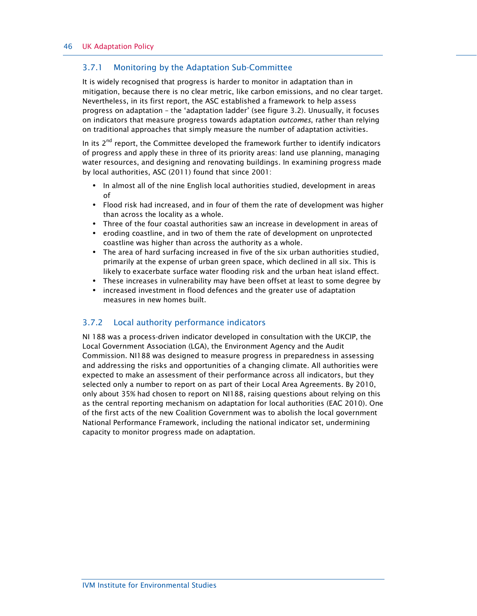#### 3.7.1 Monitoring by the Adaptation Sub-Committee

It is widely recognised that progress is harder to monitor in adaptation than in mitigation, because there is no clear metric, like carbon emissions, and no clear target. Nevertheless, in its first report, the ASC established a framework to help assess progress on adaptation – the 'adaptation ladder' (see figure 3.2). Unusually, it focuses on indicators that measure progress towards adaptation outcomes, rather than relying on traditional approaches that simply measure the number of adaptation activities.

In its  $2<sup>nd</sup>$  report, the Committee developed the framework further to identify indicators of progress and apply these in three of its priority areas: land use planning, managing water resources, and designing and renovating buildings. In examining progress made by local authorities, ASC (2011) found that since 2001:

- **•** In almost all of the nine English local authorities studied, development in areas of
- **•** Flood risk had increased, and in four of them the rate of development was higher than across the locality as a whole.
- **•** Three of the four coastal authorities saw an increase in development in areas of
- **•** eroding coastline, and in two of them the rate of development on unprotected coastline was higher than across the authority as a whole.
- **•** The area of hard surfacing increased in five of the six urban authorities studied, primarily at the expense of urban green space, which declined in all six. This is likely to exacerbate surface water flooding risk and the urban heat island effect.
- **•** These increases in vulnerability may have been offset at least to some degree by
- **•** increased investment in flood defences and the greater use of adaptation measures in new homes built.

### 3.7.2 Local authority performance indicators

NI 188 was a process-driven indicator developed in consultation with the UKCIP, the Local Government Association (LGA), the Environment Agency and the Audit Commission. NI188 was designed to measure progress in preparedness in assessing and addressing the risks and opportunities of a changing climate. All authorities were expected to make an assessment of their performance across all indicators, but they selected only a number to report on as part of their Local Area Agreements. By 2010, only about 35% had chosen to report on NI188, raising questions about relying on this as the central reporting mechanism on adaptation for local authorities (EAC 2010). One of the first acts of the new Coalition Government was to abolish the local government National Performance Framework, including the national indicator set, undermining capacity to monitor progress made on adaptation.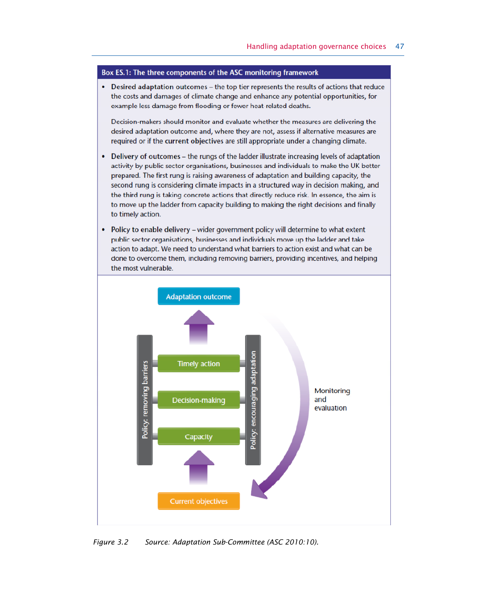#### Box ES.1: The three components of the ASC monitoring framework

• Desired adaptation outcomes – the top tier represents the results of actions that reduce the costs and damages of climate change and enhance any potential opportunities, for example less damage from flooding or fewer heat-related deaths.

Decision-makers should monitor and evaluate whether the measures are delivering the desired adaptation outcome and, where they are not, assess if alternative measures are required or if the current objectives are still appropriate under a changing climate.

- Delivery of outcomes the rungs of the ladder illustrate increasing levels of adaptation activity by public sector organisations, businesses and individuals to make the UK better prepared. The first rung is raising awareness of adaptation and building capacity, the second rung is considering climate impacts in a structured way in decision making, and the third rung is taking concrete actions that directly reduce risk. In essence, the aim is to move up the ladder from capacity building to making the right decisions and finally to timely action.
- Policy to enable delivery wider government policy will determine to what extent public sector organisations, businesses and individuals move up the ladder and take action to adapt. We need to understand what barriers to action exist and what can be done to overcome them, including removing barriers, providing incentives, and helping the most vulnerable.



Figure 3.2 Source: Adaptation Sub-Committee (ASC 2010:10).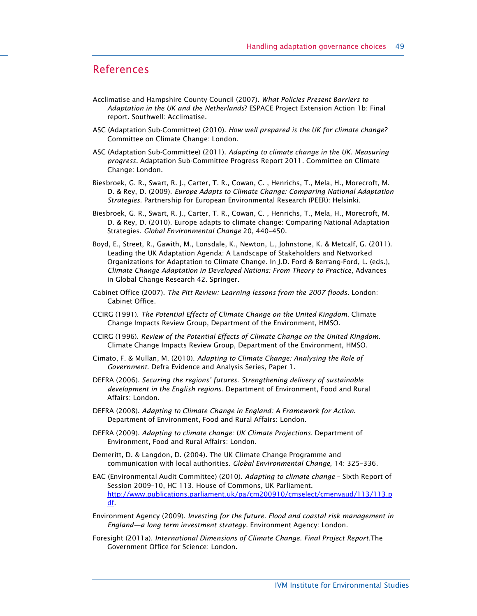## References

- Acclimatise and Hampshire County Council (2007). What Policies Present Barriers to Adaptation in the UK and the Netherlands? ESPACE Project Extension Action 1b: Final report. Southwell: Acclimatise.
- ASC (Adaptation Sub-Committee) (2010). How well prepared is the UK for climate change? Committee on Climate Change: London.
- ASC (Adaptation Sub-Committee) (2011). Adapting to climate change in the UK. Measuring progress. Adaptation Sub-Committee Progress Report 2011. Committee on Climate Change: London.
- Biesbroek, G. R., Swart, R. J., Carter, T. R., Cowan, C. , Henrichs, T., Mela, H., Morecroft, M. D. & Rey, D. (2009). Europe Adapts to Climate Change: Comparing National Adaptation Strategies. Partnership for European Environmental Research (PEER): Helsinki.
- Biesbroek, G. R., Swart, R. J., Carter, T. R., Cowan, C. , Henrichs, T., Mela, H., Morecroft, M. D. & Rey, D. (2010). Europe adapts to climate change: Comparing National Adaptation Strategies. Global Environmental Change 20, 440–450.
- Boyd, E., Street, R., Gawith, M., Lonsdale, K., Newton, L., Johnstone, K. & Metcalf, G. (2011). Leading the UK Adaptation Agenda: A Landscape of Stakeholders and Networked Organizations for Adaptation to Climate Change. In J.D. Ford & Berrang-Ford, L. (eds.), Climate Change Adaptation in Developed Nations: From Theory to Practice, Advances in Global Change Research 42. Springer.
- Cabinet Office (2007). The Pitt Review: Learning lessons from the 2007 floods. London: Cabinet Office.
- CCIRG (1991). The Potential Effects of Climate Change on the United Kingdom. Climate Change Impacts Review Group, Department of the Environment, HMSO.
- CCIRG (1996). Review of the Potential Effects of Climate Change on the United Kingdom. Climate Change Impacts Review Group, Department of the Environment, HMSO.
- Cimato, F. & Mullan, M. (2010). Adapting to Climate Change: Analysing the Role of Government. Defra Evidence and Analysis Series, Paper 1.
- DEFRA (2006). Securing the regions' futures. Strengthening delivery of sustainable development in the English regions. Department of Environment, Food and Rural Affairs: London.
- DEFRA (2008). Adapting to Climate Change in England: A Framework for Action. Department of Environment, Food and Rural Affairs: London.
- DEFRA (2009). Adapting to climate change: UK Climate Projections. Department of Environment, Food and Rural Affairs: London.
- Demeritt, D. & Langdon, D. (2004). The UK Climate Change Programme and communication with local authorities. Global Environmental Change, 14: 325–336.
- EAC (Environmental Audit Committee) (2010). Adapting to climate change Sixth Report of Session 2009–10, HC 113. House of Commons, UK Parliament. http://www.publications.parliament.uk/pa/cm200910/cmselect/cmenvaud/113/113.p df.
- Environment Agency (2009). Investing for the future. Flood and coastal risk management in England—a long term investment strategy. Environment Agency: London.
- Foresight (2011a). International Dimensions of Climate Change. Final Project Report.The Government Office for Science: London.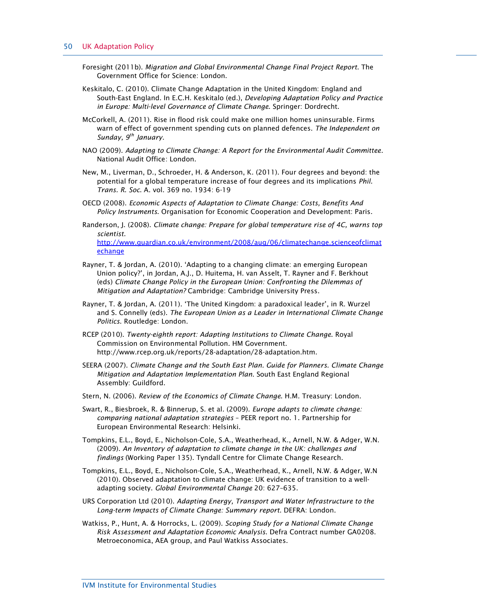- Foresight (2011b). Migration and Global Environmental Change Final Project Report. The Government Office for Science: London.
- Keskitalo, C. (2010). Climate Change Adaptation in the United Kingdom: England and South-East England. In E.C.H. Keskitalo (ed.), Developing Adaptation Policy and Practice in Europe: Multi-level Governance of Climate Change. Springer: Dordrecht.
- McCorkell, A. (2011). Rise in flood risk could make one million homes uninsurable. Firms warn of effect of government spending cuts on planned defences. The Independent on Sunday,  $9^{th}$  January.
- NAO (2009). Adapting to Climate Change: A Report for the Environmental Audit Committee. National Audit Office: London.
- New, M., Liverman, D., Schroeder, H. & Anderson, K. (2011). Four degrees and beyond: the potential for a global temperature increase of four degrees and its implications Phil. Trans. R. Soc. A. vol. 369 no. 1934: 6-19
- OECD (2008). Economic Aspects of Adaptation to Climate Change: Costs, Benefits And Policy Instruments. Organisation for Economic Cooperation and Development: Paris.
- Randerson, J. (2008). Climate change: Prepare for global temperature rise of 4C, warns top scientist.

http://www.guardian.co.uk/environment/2008/aug/06/climatechange.scienceofclimat echange

- Rayner, T. & Jordan, A. (2010). 'Adapting to a changing climate: an emerging European Union policy?', in Jordan, A.J., D. Huitema, H. van Asselt, T. Rayner and F. Berkhout (eds) Climate Change Policy in the European Union: Confronting the Dilemmas of Mitigation and Adaptation? Cambridge: Cambridge University Press.
- Rayner, T. & Jordan, A. (2011). 'The United Kingdom: a paradoxical leader', in R. Wurzel and S. Connelly (eds). The European Union as a Leader in International Climate Change Politics. Routledge: London.
- RCEP (2010). Twenty-eighth report: Adapting Institutions to Climate Change. Royal Commission on Environmental Pollution. HM Government. http://www.rcep.org.uk/reports/28-adaptation/28-adaptation.htm.
- SEERA (2007). Climate Change and the South East Plan. Guide for Planners. Climate Change Mitigation and Adaptation Implementation Plan. South East England Regional Assembly: Guildford.
- Stern, N. (2006). Review of the Economics of Climate Change. H.M. Treasury: London.
- Swart, R., Biesbroek, R. & Binnerup, S. et al. (2009). Europe adapts to climate change: comparing national adaptation strategies – PEER report no. 1. Partnership for European Environmental Research: Helsinki.
- Tompkins, E.L., Boyd, E., Nicholson-Cole, S.A., Weatherhead, K., Arnell, N.W. & Adger, W.N. (2009). An Inventory of adaptation to climate change in the UK: challenges and findings (Working Paper 135). Tyndall Centre for Climate Change Research.
- Tompkins, E.L., Boyd, E., Nicholson-Cole, S.A., Weatherhead, K., Arnell, N.W. & Adger, W.N (2010). Observed adaptation to climate change: UK evidence of transition to a welladapting society. Global Environmental Change 20: 627–635.
- URS Corporation Ltd (2010). Adapting Energy, Transport and Water Infrastructure to the Long-term Impacts of Climate Change: Summary report. DEFRA: London.
- Watkiss, P., Hunt, A. & Horrocks, L. (2009). Scoping Study for a National Climate Change Risk Assessment and Adaptation Economic Analysis. Defra Contract number GA0208. Metroeconomica, AEA group, and Paul Watkiss Associates.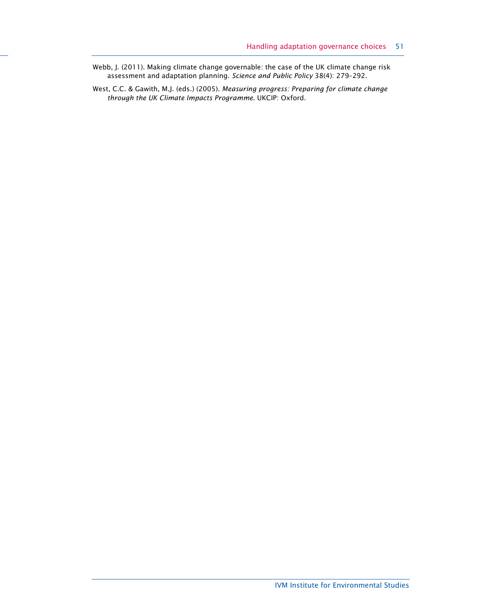- Webb, J. (2011). Making climate change governable: the case of the UK climate change risk assessment and adaptation planning. Science and Public Policy 38(4): 279–292.
- West, C.C. & Gawith, M.J. (eds.) (2005). Measuring progress: Preparing for climate change through the UK Climate Impacts Programme. UKCIP: Oxford.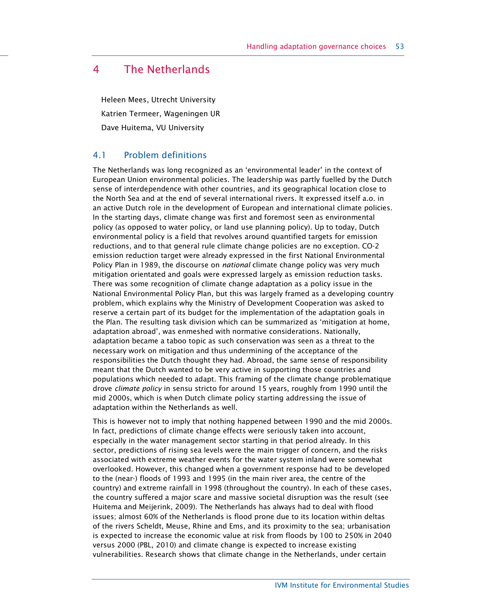## 4 The Netherlands

Heleen Mees, Utrecht University Katrien Termeer, Wageningen UR Dave Huitema, VU University

## 4.1 Problem definitions

The Netherlands was long recognized as an 'environmental leader' in the context of European Union environmental policies. The leadership was partly fuelled by the Dutch sense of interdependence with other countries, and its geographical location close to the North Sea and at the end of several international rivers. It expressed itself a.o. in an active Dutch role in the development of European and international climate policies. In the starting days, climate change was first and foremost seen as environmental policy (as opposed to water policy, or land use planning policy). Up to today, Dutch environmental policy is a field that revolves around quantified targets for emission reductions, and to that general rule climate change policies are no exception. CO-2 emission reduction target were already expressed in the first National Environmental Policy Plan in 1989, the discourse on national climate change policy was very much mitigation orientated and goals were expressed largely as emission reduction tasks. There was some recognition of climate change adaptation as a policy issue in the National Environmental Policy Plan, but this was largely framed as a developing country problem, which explains why the Ministry of Development Cooperation was asked to reserve a certain part of its budget for the implementation of the adaptation goals in the Plan. The resulting task division which can be summarized as 'mitigation at home, adaptation abroad', was enmeshed with normative considerations. Nationally, adaptation became a taboo topic as such conservation was seen as a threat to the necessary work on mitigation and thus undermining of the acceptance of the responsibilities the Dutch thought they had. Abroad, the same sense of responsibility meant that the Dutch wanted to be very active in supporting those countries and populations which needed to adapt. This framing of the climate change problematique drove climate policy in sensu stricto for around 15 years, roughly from 1990 until the mid 2000s, which is when Dutch climate policy starting addressing the issue of adaptation within the Netherlands as well.

This is however not to imply that nothing happened between 1990 and the mid 2000s. In fact, predictions of climate change effects were seriously taken into account, especially in the water management sector starting in that period already. In this sector, predictions of rising sea levels were the main trigger of concern, and the risks associated with extreme weather events for the water system inland were somewhat overlooked. However, this changed when a government response had to be developed to the (near-) floods of 1993 and 1995 (in the main river area, the centre of the country) and extreme rainfall in 1998 (throughout the country). In each of these cases, the country suffered a major scare and massive societal disruption was the result (see Huitema and Meijerink, 2009). The Netherlands has always had to deal with flood issues; almost 60% of the Netherlands is flood prone due to its location within deltas of the rivers Scheldt, Meuse, Rhine and Ems, and its proximity to the sea; urbanisation is expected to increase the economic value at risk from floods by 100 to 250% in 2040 versus 2000 (PBL, 2010) and climate change is expected to increase existing vulnerabilities. Research shows that climate change in the Netherlands, under certain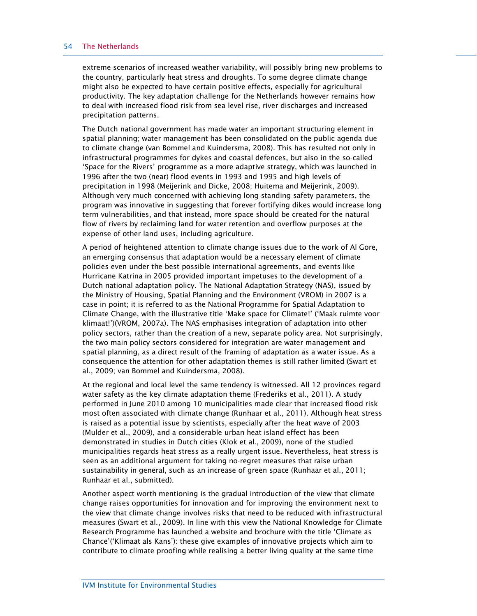#### 54 The Netherlands

extreme scenarios of increased weather variability, will possibly bring new problems to the country, particularly heat stress and droughts. To some degree climate change might also be expected to have certain positive effects, especially for agricultural productivity. The key adaptation challenge for the Netherlands however remains how to deal with increased flood risk from sea level rise, river discharges and increased precipitation patterns.

The Dutch national government has made water an important structuring element in spatial planning; water management has been consolidated on the public agenda due to climate change (van Bommel and Kuindersma, 2008). This has resulted not only in infrastructural programmes for dykes and coastal defences, but also in the so-called 'Space for the Rivers' programme as a more adaptive strategy, which was launched in 1996 after the two (near) flood events in 1993 and 1995 and high levels of precipitation in 1998 (Meijerink and Dicke, 2008; Huitema and Meijerink, 2009). Although very much concerned with achieving long standing safety parameters, the program was innovative in suggesting that forever fortifying dikes would increase long term vulnerabilities, and that instead, more space should be created for the natural flow of rivers by reclaiming land for water retention and overflow purposes at the expense of other land uses, including agriculture.

A period of heightened attention to climate change issues due to the work of Al Gore, an emerging consensus that adaptation would be a necessary element of climate policies even under the best possible international agreements, and events like Hurricane Katrina in 2005 provided important impetuses to the development of a Dutch national adaptation policy. The National Adaptation Strategy (NAS), issued by the Ministry of Housing, Spatial Planning and the Environment (VROM) in 2007 is a case in point; it is referred to as the National Programme for Spatial Adaptation to Climate Change, with the illustrative title 'Make space for Climate!' ('Maak ruimte voor klimaat!')(VROM, 2007a). The NAS emphasises integration of adaptation into other policy sectors, rather than the creation of a new, separate policy area. Not surprisingly, the two main policy sectors considered for integration are water management and spatial planning, as a direct result of the framing of adaptation as a water issue. As a consequence the attention for other adaptation themes is still rather limited (Swart et al., 2009; van Bommel and Kuindersma, 2008).

At the regional and local level the same tendency is witnessed. All 12 provinces regard water safety as the key climate adaptation theme (Frederiks et al., 2011). A study performed in June 2010 among 10 municipalities made clear that increased flood risk most often associated with climate change (Runhaar et al., 2011). Although heat stress is raised as a potential issue by scientists, especially after the heat wave of 2003 (Mulder et al., 2009), and a considerable urban heat island effect has been demonstrated in studies in Dutch cities (Klok et al., 2009), none of the studied municipalities regards heat stress as a really urgent issue. Nevertheless, heat stress is seen as an additional argument for taking no-regret measures that raise urban sustainability in general, such as an increase of green space (Runhaar et al., 2011; Runhaar et al., submitted).

Another aspect worth mentioning is the gradual introduction of the view that climate change raises opportunities for innovation and for improving the environment next to the view that climate change involves risks that need to be reduced with infrastructural measures (Swart et al., 2009). In line with this view the National Knowledge for Climate Research Programme has launched a website and brochure with the title 'Climate as Chance'('Klimaat als Kans'): these give examples of innovative projects which aim to contribute to climate proofing while realising a better living quality at the same time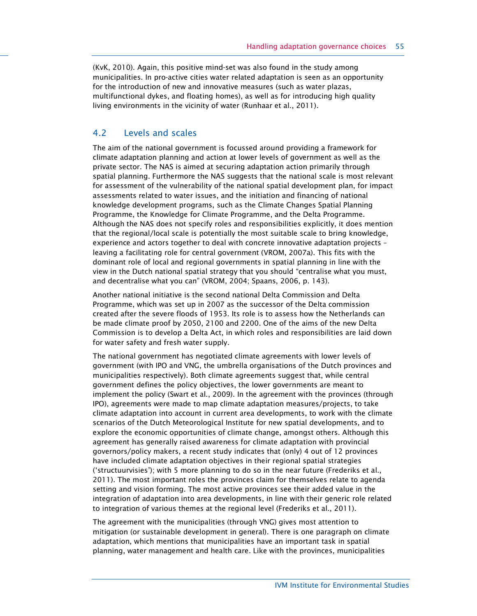(KvK, 2010). Again, this positive mind-set was also found in the study among municipalities. In pro-active cities water related adaptation is seen as an opportunity for the introduction of new and innovative measures (such as water plazas, multifunctional dykes, and floating homes), as well as for introducing high quality living environments in the vicinity of water (Runhaar et al., 2011).

## 4.2 Levels and scales

The aim of the national government is focussed around providing a framework for climate adaptation planning and action at lower levels of government as well as the private sector. The NAS is aimed at securing adaptation action primarily through spatial planning. Furthermore the NAS suggests that the national scale is most relevant for assessment of the vulnerability of the national spatial development plan, for impact assessments related to water issues, and the initiation and financing of national knowledge development programs, such as the Climate Changes Spatial Planning Programme, the Knowledge for Climate Programme, and the Delta Programme. Although the NAS does not specify roles and responsibilities explicitly, it does mention that the regional/local scale is potentially the most suitable scale to bring knowledge, experience and actors together to deal with concrete innovative adaptation projects – leaving a facilitating role for central government (VROM, 2007a). This fits with the dominant role of local and regional governments in spatial planning in line with the view in the Dutch national spatial strategy that you should "centralise what you must, and decentralise what you can" (VROM, 2004; Spaans, 2006, p. 143).

Another national initiative is the second national Delta Commission and Delta Programme, which was set up in 2007 as the successor of the Delta commission created after the severe floods of 1953. Its role is to assess how the Netherlands can be made climate proof by 2050, 2100 and 2200. One of the aims of the new Delta Commission is to develop a Delta Act, in which roles and responsibilities are laid down for water safety and fresh water supply.

The national government has negotiated climate agreements with lower levels of government (with IPO and VNG, the umbrella organisations of the Dutch provinces and municipalities respectively). Both climate agreements suggest that, while central government defines the policy objectives, the lower governments are meant to implement the policy (Swart et al., 2009). In the agreement with the provinces (through IPO), agreements were made to map climate adaptation measures/projects, to take climate adaptation into account in current area developments, to work with the climate scenarios of the Dutch Meteorological Institute for new spatial developments, and to explore the economic opportunities of climate change, amongst others. Although this agreement has generally raised awareness for climate adaptation with provincial governors/policy makers, a recent study indicates that (only) 4 out of 12 provinces have included climate adaptation objectives in their regional spatial strategies ('structuurvisies'); with 5 more planning to do so in the near future (Frederiks et al., 2011). The most important roles the provinces claim for themselves relate to agenda setting and vision forming. The most active provinces see their added value in the integration of adaptation into area developments, in line with their generic role related to integration of various themes at the regional level (Frederiks et al., 2011).

The agreement with the municipalities (through VNG) gives most attention to mitigation (or sustainable development in general). There is one paragraph on climate adaptation, which mentions that municipalities have an important task in spatial planning, water management and health care. Like with the provinces, municipalities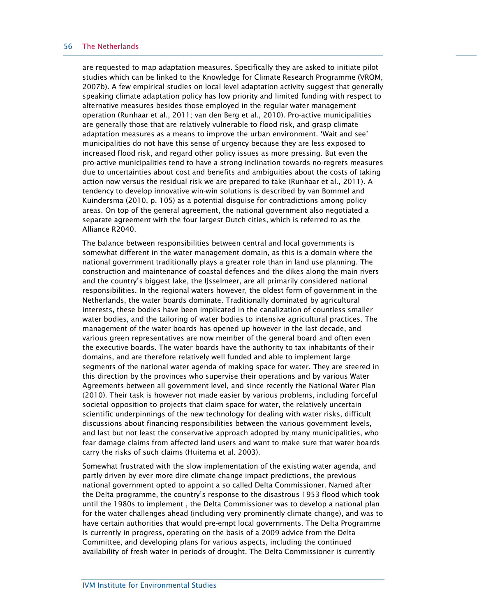#### 56 The Netherlands

are requested to map adaptation measures. Specifically they are asked to initiate pilot studies which can be linked to the Knowledge for Climate Research Programme (VROM, 2007b). A few empirical studies on local level adaptation activity suggest that generally speaking climate adaptation policy has low priority and limited funding with respect to alternative measures besides those employed in the regular water management operation (Runhaar et al., 2011; van den Berg et al., 2010). Pro-active municipalities are generally those that are relatively vulnerable to flood risk, and grasp climate adaptation measures as a means to improve the urban environment. 'Wait and see' municipalities do not have this sense of urgency because they are less exposed to increased flood risk, and regard other policy issues as more pressing. But even the pro-active municipalities tend to have a strong inclination towards no-regrets measures due to uncertainties about cost and benefits and ambiguities about the costs of taking action now versus the residual risk we are prepared to take (Runhaar et al., 2011). A tendency to develop innovative win-win solutions is described by van Bommel and Kuindersma (2010, p. 105) as a potential disguise for contradictions among policy areas. On top of the general agreement, the national government also negotiated a separate agreement with the four largest Dutch cities, which is referred to as the Alliance R2040.

The balance between responsibilities between central and local governments is somewhat different in the water management domain, as this is a domain where the national government traditionally plays a greater role than in land use planning. The construction and maintenance of coastal defences and the dikes along the main rivers and the country's biggest lake, the IJsselmeer, are all primarily considered national responsibilities. In the regional waters however, the oldest form of government in the Netherlands, the water boards dominate. Traditionally dominated by agricultural interests, these bodies have been implicated in the canalization of countless smaller water bodies, and the tailoring of water bodies to intensive agricultural practices. The management of the water boards has opened up however in the last decade, and various green representatives are now member of the general board and often even the executive boards. The water boards have the authority to tax inhabitants of their domains, and are therefore relatively well funded and able to implement large segments of the national water agenda of making space for water. They are steered in this direction by the provinces who supervise their operations and by various Water Agreements between all government level, and since recently the National Water Plan (2010). Their task is however not made easier by various problems, including forceful societal opposition to projects that claim space for water, the relatively uncertain scientific underpinnings of the new technology for dealing with water risks, difficult discussions about financing responsibilities between the various government levels, and last but not least the conservative approach adopted by many municipalities, who fear damage claims from affected land users and want to make sure that water boards carry the risks of such claims (Huitema et al. 2003).

Somewhat frustrated with the slow implementation of the existing water agenda, and partly driven by ever more dire climate change impact predictions, the previous national government opted to appoint a so called Delta Commissioner. Named after the Delta programme, the country's response to the disastrous 1953 flood which took until the 1980s to implement , the Delta Commissioner was to develop a national plan for the water challenges ahead (including very prominently climate change), and was to have certain authorities that would pre-empt local governments. The Delta Programme is currently in progress, operating on the basis of a 2009 advice from the Delta Committee, and developing plans for various aspects, including the continued availability of fresh water in periods of drought. The Delta Commissioner is currently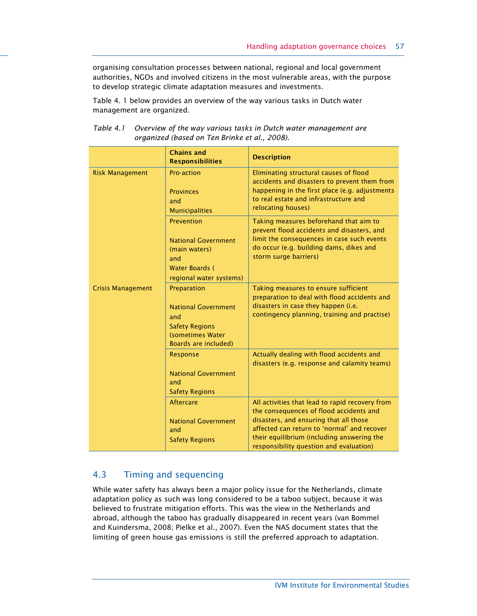organising consultation processes between national, regional and local government authorities, NGOs and involved citizens in the most vulnerable areas, with the purpose to develop strategic climate adaptation measures and investments.

Table 4. 1 below provides an overview of the way various tasks in Dutch water management are organized.

|                          | <b>Chains and</b>                                                                                                     | <b>Description</b>                                                                                                                                                                                                                                                           |
|--------------------------|-----------------------------------------------------------------------------------------------------------------------|------------------------------------------------------------------------------------------------------------------------------------------------------------------------------------------------------------------------------------------------------------------------------|
|                          | <b>Responsibilities</b>                                                                                               |                                                                                                                                                                                                                                                                              |
| <b>Risk Management</b>   | Pro-action<br><b>Provinces</b><br>and<br><b>Municipalities</b>                                                        | Eliminating structural causes of flood<br>accidents and disasters to prevent them from<br>happening in the first place (e.g. adjustments<br>to real estate and infrastructure and<br>relocating houses)                                                                      |
|                          | Prevention<br><b>National Government</b><br>(main waters)<br>and<br>Water Boards (<br>regional water systems)         | Taking measures beforehand that aim to<br>prevent flood accidents and disasters, and<br>limit the consequences in case such events<br>do occur (e.g. building dams, dikes and<br>storm surge barriers)                                                                       |
| <b>Crisis Management</b> | Preparation<br><b>National Government</b><br>and<br><b>Safety Regions</b><br>(sometimes Water<br>Boards are included) | Taking measures to ensure sufficient<br>preparation to deal with flood accidents and<br>disasters in case they happen (i.e.<br>contingency planning, training and practise)                                                                                                  |
|                          | Response<br><b>National Government</b><br>and<br><b>Safety Regions</b>                                                | Actually dealing with flood accidents and<br>disasters (e.g. response and calamity teams)                                                                                                                                                                                    |
|                          | <b>Aftercare</b><br><b>National Government</b><br>and<br><b>Safety Regions</b>                                        | All activities that lead to rapid recovery from<br>the consequences of flood accidents and<br>disasters, and ensuring that all those<br>affected can return to 'normal' and recover<br>their equilibrium (including answering the<br>responsibility question and evaluation) |

#### Table 4.1 Overview of the way various tasks in Dutch water management are organized (based on Ten Brinke et al., 2008).

## 4.3 Timing and sequencing

While water safety has always been a major policy issue for the Netherlands, climate adaptation policy as such was long considered to be a taboo subject, because it was believed to frustrate mitigation efforts. This was the view in the Netherlands and abroad, although the taboo has gradually disappeared in recent years (van Bommel and Kuindersma, 2008; Pielke et al., 2007). Even the NAS document states that the limiting of green house gas emissions is still the preferred approach to adaptation.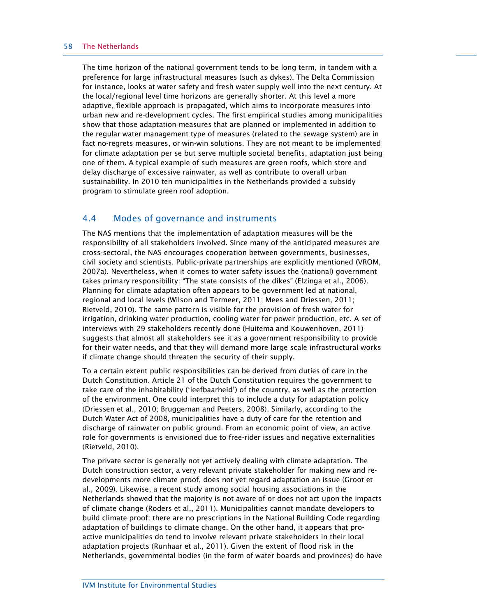#### 58 The Netherlands

The time horizon of the national government tends to be long term, in tandem with a preference for large infrastructural measures (such as dykes). The Delta Commission for instance, looks at water safety and fresh water supply well into the next century. At the local/regional level time horizons are generally shorter. At this level a more adaptive, flexible approach is propagated, which aims to incorporate measures into urban new and re-development cycles. The first empirical studies among municipalities show that those adaptation measures that are planned or implemented in addition to the regular water management type of measures (related to the sewage system) are in fact no-regrets measures, or win-win solutions. They are not meant to be implemented for climate adaptation per se but serve multiple societal benefits, adaptation just being one of them. A typical example of such measures are green roofs, which store and delay discharge of excessive rainwater, as well as contribute to overall urban sustainability. In 2010 ten municipalities in the Netherlands provided a subsidy program to stimulate green roof adoption.

#### 4.4 Modes of governance and instruments

The NAS mentions that the implementation of adaptation measures will be the responsibility of all stakeholders involved. Since many of the anticipated measures are cross-sectoral, the NAS encourages cooperation between governments, businesses, civil society and scientists. Public-private partnerships are explicitly mentioned (VROM, 2007a). Nevertheless, when it comes to water safety issues the (national) government takes primary responsibility: "The state consists of the dikes" (Elzinga et al., 2006). Planning for climate adaptation often appears to be government led at national, regional and local levels (Wilson and Termeer, 2011; Mees and Driessen, 2011; Rietveld, 2010). The same pattern is visible for the provision of fresh water for irrigation, drinking water production, cooling water for power production, etc. A set of interviews with 29 stakeholders recently done (Huitema and Kouwenhoven, 2011) suggests that almost all stakeholders see it as a government responsibility to provide for their water needs, and that they will demand more large scale infrastructural works if climate change should threaten the security of their supply.

To a certain extent public responsibilities can be derived from duties of care in the Dutch Constitution. Article 21 of the Dutch Constitution requires the government to take care of the inhabitability ('leefbaarheid') of the country, as well as the protection of the environment. One could interpret this to include a duty for adaptation policy (Driessen et al., 2010; Bruggeman and Peeters, 2008). Similarly, according to the Dutch Water Act of 2008, municipalities have a duty of care for the retention and discharge of rainwater on public ground. From an economic point of view, an active role for governments is envisioned due to free-rider issues and negative externalities (Rietveld, 2010).

The private sector is generally not yet actively dealing with climate adaptation. The Dutch construction sector, a very relevant private stakeholder for making new and redevelopments more climate proof, does not yet regard adaptation an issue (Groot et al., 2009). Likewise, a recent study among social housing associations in the Netherlands showed that the majority is not aware of or does not act upon the impacts of climate change (Roders et al., 2011). Municipalities cannot mandate developers to build climate proof; there are no prescriptions in the National Building Code regarding adaptation of buildings to climate change. On the other hand, it appears that proactive municipalities do tend to involve relevant private stakeholders in their local adaptation projects (Runhaar et al., 2011). Given the extent of flood risk in the Netherlands, governmental bodies (in the form of water boards and provinces) do have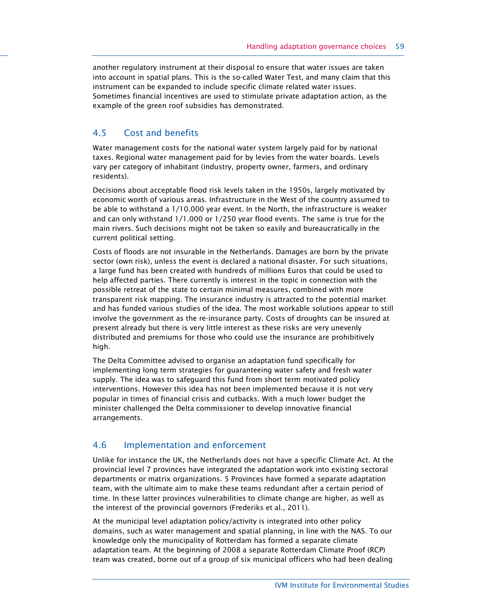another regulatory instrument at their disposal to ensure that water issues are taken into account in spatial plans. This is the so-called Water Test, and many claim that this instrument can be expanded to include specific climate related water issues. Sometimes financial incentives are used to stimulate private adaptation action, as the example of the green roof subsidies has demonstrated.

## 4.5 Cost and benefits

Water management costs for the national water system largely paid for by national taxes. Regional water management paid for by levies from the water boards. Levels vary per category of inhabitant (industry, property owner, farmers, and ordinary residents).

Decisions about acceptable flood risk levels taken in the 1950s, largely motivated by economic worth of various areas. Infrastructure in the West of the country assumed to be able to withstand a 1/10.000 year event. In the North, the infrastructure is weaker and can only withstand 1/1.000 or 1/250 year flood events. The same is true for the main rivers. Such decisions might not be taken so easily and bureaucratically in the current political setting.

Costs of floods are not insurable in the Netherlands. Damages are born by the private sector (own risk), unless the event is declared a national disaster. For such situations, a large fund has been created with hundreds of millions Euros that could be used to help affected parties. There currently is interest in the topic in connection with the possible retreat of the state to certain minimal measures, combined with more transparent risk mapping. The insurance industry is attracted to the potential market and has funded various studies of the idea. The most workable solutions appear to still involve the government as the re-insurance party. Costs of droughts can be insured at present already but there is very little interest as these risks are very unevenly distributed and premiums for those who could use the insurance are prohibitively high.

The Delta Committee advised to organise an adaptation fund specifically for implementing long term strategies for guaranteeing water safety and fresh water supply. The idea was to safeguard this fund from short term motivated policy interventions. However this idea has not been implemented because it is not very popular in times of financial crisis and cutbacks. With a much lower budget the minister challenged the Delta commissioner to develop innovative financial arrangements.

## 4.6 Implementation and enforcement

Unlike for instance the UK, the Netherlands does not have a specific Climate Act. At the provincial level 7 provinces have integrated the adaptation work into existing sectoral departments or matrix organizations. 5 Provinces have formed a separate adaptation team, with the ultimate aim to make these teams redundant after a certain period of time. In these latter provinces vulnerabilities to climate change are higher, as well as the interest of the provincial governors (Frederiks et al., 2011).

At the municipal level adaptation policy/activity is integrated into other policy domains, such as water management and spatial planning, in line with the NAS. To our knowledge only the municipality of Rotterdam has formed a separate climate adaptation team. At the beginning of 2008 a separate Rotterdam Climate Proof (RCP) team was created, borne out of a group of six municipal officers who had been dealing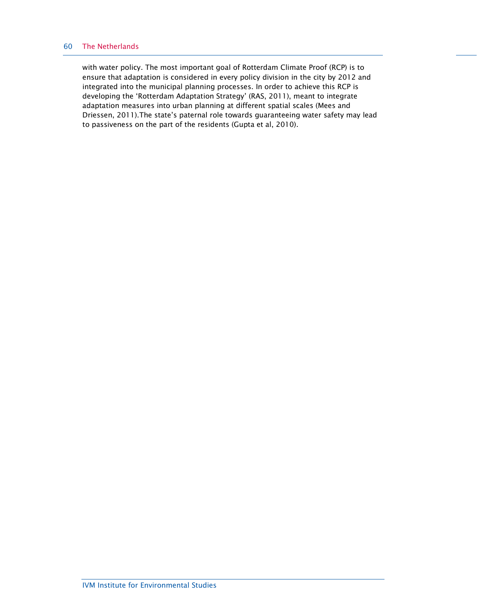#### 60 The Netherlands

with water policy. The most important goal of Rotterdam Climate Proof (RCP) is to ensure that adaptation is considered in every policy division in the city by 2012 and integrated into the municipal planning processes. In order to achieve this RCP is developing the 'Rotterdam Adaptation Strategy' (RAS, 2011), meant to integrate adaptation measures into urban planning at different spatial scales (Mees and Driessen, 2011).The state's paternal role towards guaranteeing water safety may lead to passiveness on the part of the residents (Gupta et al, 2010).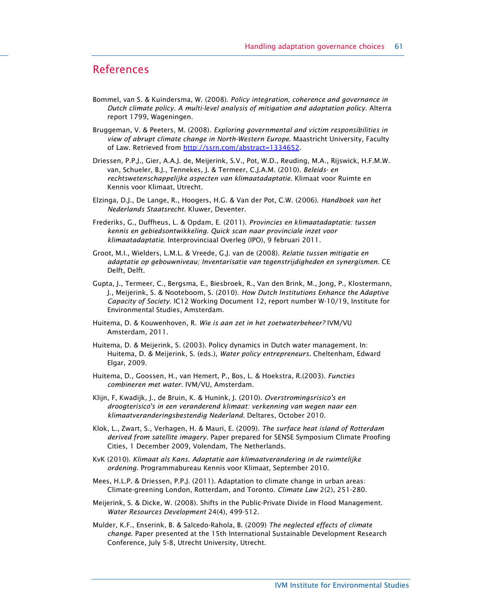## References

- Bommel, van S. & Kuindersma, W. (2008). Policy integration, coherence and governance in Dutch climate policy. A multi-level analysis of mitigation and adaptation policy. Alterra report 1799, Wageningen.
- Bruggeman, V. & Peeters, M. (2008). Exploring governmental and victim responsibilities in view of abrupt climate change in North-Western Europe. Maastricht University, Faculty of Law. Retrieved from http://ssrn.com/abstract=1334652.
- Driessen, P.P.J., Gier, A.A.J. de, Meijerink, S.V., Pot, W.D., Reuding, M.A., Rijswick, H.F.M.W. van, Schueler, B.J., Tennekes, J. & Termeer, C.J.A.M. (2010). Beleids- en rechtswetenschappelijke aspecten van klimaatadaptatie. Klimaat voor Ruimte en Kennis voor Klimaat, Utrecht.
- Elzinga, D.J., De Lange, R., Hoogers, H.G. & Van der Pot, C.W. (2006). Handboek van het Nederlands Staatsrecht. Kluwer, Deventer.
- Frederiks, G., Duffheus, L. & Opdam, E. (2011). Provincies en klimaatadaptatie: tussen kennis en gebiedsontwikkeling. Quick scan naar provinciale inzet voor klimaatadaptatie. Interprovinciaal Overleg (IPO), 9 februari 2011.
- Groot, M.I., Wielders, L.M.L. & Vreede, G.J. van de (2008). Relatie tussen mitigatie en adaptatie op gebouwniveau; Inventarisatie van tegenstrijdigheden en synergismen. CE Delft, Delft.
- Gupta, J., Termeer, C., Bergsma, E., Biesbroek, R., Van den Brink, M., Jong, P., Klostermann, J., Meijerink, S. & Nooteboom, S. (2010). How Dutch Institutions Enhance the Adaptive Capacity of Society. IC12 Working Document 12, report number W-10/19, Institute for Environmental Studies, Amsterdam.
- Huitema, D. & Kouwenhoven, R. Wie is aan zet in het zoetwaterbeheer? IVM/VU Amsterdam, 2011.
- Huitema, D. & Meijerink, S. (2003). Policy dynamics in Dutch water management. In: Huitema, D. & Meijerink, S. (eds.), Water policy entrepreneurs. Cheltenham, Edward Elgar, 2009.
- Huitema, D., Goossen, H., van Hemert, P., Bos, L. & Hoekstra, R.(2003). Functies combineren met water. IVM/VU, Amsterdam.
- Klijn, F, Kwadijk, J., de Bruin, K. & Hunink, J. (2010). Overstromingsrisico's en droogterisico's in een veranderend klimaat: verkenning van wegen naar een klimaatveranderingsbestendig Nederland. Deltares, October 2010.
- Klok, L., Zwart, S., Verhagen, H. & Mauri, E. (2009). The surface heat island of Rotterdam derived from satellite imagery. Paper prepared for SENSE Symposium Climate Proofing Cities, 1 December 2009, Volendam, The Netherlands.
- KvK (2010). Klimaat als Kans. Adaptatie aan klimaatverandering in de ruimtelijke ordening. Programmabureau Kennis voor Klimaat, September 2010.
- Mees, H.L.P. & Driessen, P.P.J. (2011). Adaptation to climate change in urban areas: Climate-greening London, Rotterdam, and Toronto. Climate Law 2(2), 251-280.
- Meijerink, S. & Dicke, W. (2008). Shifts in the Public-Private Divide in Flood Management. Water Resources Development 24(4), 499-512.
- Mulder, K.F., Enserink, B. & Salcedo-Rahola, B. (2009) The neglected effects of climate change. Paper presented at the 15th International Sustainable Development Research Conference, July 5-8, Utrecht University, Utrecht.